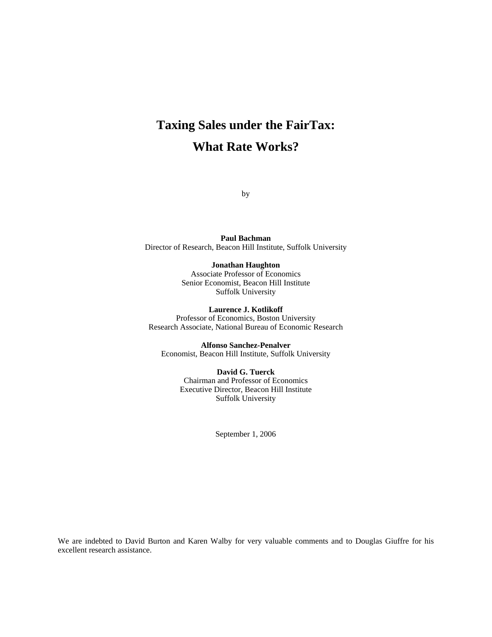# **Taxing Sales under the FairTax: What Rate Works?**

by

**Paul Bachman**  Director of Research, Beacon Hill Institute, Suffolk University

#### **Jonathan Haughton**

Associate Professor of Economics Senior Economist, Beacon Hill Institute Suffolk University

**Laurence J. Kotlikoff**  Professor of Economics, Boston University Research Associate, National Bureau of Economic Research

**Alfonso Sanchez-Penalver**  Economist, Beacon Hill Institute, Suffolk University

> **David G. Tuerck**  Chairman and Professor of Economics Executive Director, Beacon Hill Institute Suffolk University

> > September 1, 2006

We are indebted to David Burton and Karen Walby for very valuable comments and to Douglas Giuffre for his excellent research assistance.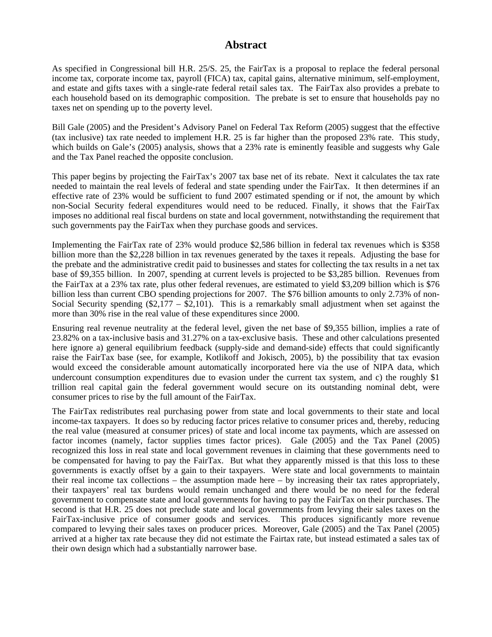# **Abstract**

As specified in Congressional bill H.R. 25/S. 25, the FairTax is a proposal to replace the federal personal income tax, corporate income tax, payroll (FICA) tax, capital gains, alternative minimum, self-employment, and estate and gifts taxes with a single-rate federal retail sales tax. The FairTax also provides a prebate to each household based on its demographic composition. The prebate is set to ensure that households pay no taxes net on spending up to the poverty level.

Bill Gale (2005) and the President's Advisory Panel on Federal Tax Reform (2005) suggest that the effective (tax inclusive) tax rate needed to implement H.R. 25 is far higher than the proposed 23% rate. This study, which builds on Gale's (2005) analysis, shows that a 23% rate is eminently feasible and suggests why Gale and the Tax Panel reached the opposite conclusion.

This paper begins by projecting the FairTax's 2007 tax base net of its rebate. Next it calculates the tax rate needed to maintain the real levels of federal and state spending under the FairTax. It then determines if an effective rate of 23% would be sufficient to fund 2007 estimated spending or if not, the amount by which non-Social Security federal expenditures would need to be reduced. Finally, it shows that the FairTax imposes no additional real fiscal burdens on state and local government, notwithstanding the requirement that such governments pay the FairTax when they purchase goods and services.

Implementing the FairTax rate of 23% would produce \$2,586 billion in federal tax revenues which is \$358 billion more than the \$2,228 billion in tax revenues generated by the taxes it repeals. Adjusting the base for the prebate and the administrative credit paid to businesses and states for collecting the tax results in a net tax base of \$9,355 billion. In 2007, spending at current levels is projected to be \$3,285 billion. Revenues from the FairTax at a 23% tax rate, plus other federal revenues, are estimated to yield \$3,209 billion which is \$76 billion less than current CBO spending projections for 2007. The \$76 billion amounts to only 2.73% of non-Social Security spending  $(\$2,177 - \$2,101)$ . This is a remarkably small adjustment when set against the more than 30% rise in the real value of these expenditures since 2000.

Ensuring real revenue neutrality at the federal level, given the net base of \$9,355 billion, implies a rate of 23.82% on a tax-inclusive basis and 31.27% on a tax-exclusive basis. These and other calculations presented here ignore a) general equilibrium feedback (supply-side and demand-side) effects that could significantly raise the FairTax base (see, for example, Kotlikoff and Jokisch, 2005), b) the possibility that tax evasion would exceed the considerable amount automatically incorporated here via the use of NIPA data, which undercount consumption expenditures due to evasion under the current tax system, and c) the roughly \$1 trillion real capital gain the federal government would secure on its outstanding nominal debt, were consumer prices to rise by the full amount of the FairTax.

The FairTax redistributes real purchasing power from state and local governments to their state and local income-tax taxpayers. It does so by reducing factor prices relative to consumer prices and, thereby, reducing the real value (measured at consumer prices) of state and local income tax payments, which are assessed on factor incomes (namely, factor supplies times factor prices). Gale (2005) and the Tax Panel (2005) recognized this loss in real state and local government revenues in claiming that these governments need to be compensated for having to pay the FairTax. But what they apparently missed is that this loss to these governments is exactly offset by a gain to their taxpayers. Were state and local governments to maintain their real income tax collections – the assumption made here – by increasing their tax rates appropriately, their taxpayers' real tax burdens would remain unchanged and there would be no need for the federal government to compensate state and local governments for having to pay the FairTax on their purchases. The second is that H.R. 25 does not preclude state and local governments from levying their sales taxes on the FairTax-inclusive price of consumer goods and services. This produces significantly more revenue compared to levying their sales taxes on producer prices. Moreover, Gale (2005) and the Tax Panel (2005) arrived at a higher tax rate because they did not estimate the Fairtax rate, but instead estimated a sales tax of their own design which had a substantially narrower base.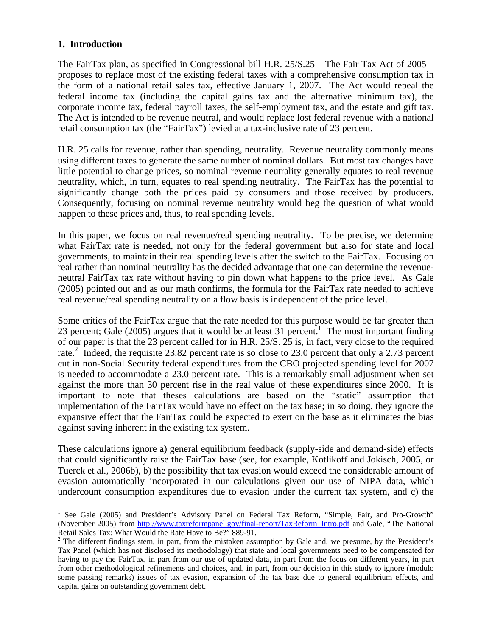# **1. Introduction**

The FairTax plan, as specified in Congressional bill H.R. 25/S.25 – The Fair Tax Act of 2005 – proposes to replace most of the existing federal taxes with a comprehensive consumption tax in the form of a national retail sales tax, effective January 1, 2007. The Act would repeal the federal income tax (including the capital gains tax and the alternative minimum tax), the corporate income tax, federal payroll taxes, the self-employment tax, and the estate and gift tax. The Act is intended to be revenue neutral, and would replace lost federal revenue with a national retail consumption tax (the "FairTax") levied at a tax-inclusive rate of 23 percent.

H.R. 25 calls for revenue, rather than spending, neutrality. Revenue neutrality commonly means using different taxes to generate the same number of nominal dollars. But most tax changes have little potential to change prices, so nominal revenue neutrality generally equates to real revenue neutrality, which, in turn, equates to real spending neutrality. The FairTax has the potential to significantly change both the prices paid by consumers and those received by producers. Consequently, focusing on nominal revenue neutrality would beg the question of what would happen to these prices and, thus, to real spending levels.

In this paper, we focus on real revenue/real spending neutrality. To be precise, we determine what FairTax rate is needed, not only for the federal government but also for state and local governments, to maintain their real spending levels after the switch to the FairTax. Focusing on real rather than nominal neutrality has the decided advantage that one can determine the revenueneutral FairTax tax rate without having to pin down what happens to the price level. As Gale (2005) pointed out and as our math confirms, the formula for the FairTax rate needed to achieve real revenue/real spending neutrality on a flow basis is independent of the price level.

Some critics of the FairTax argue that the rate needed for this purpose would be far greater than 23 percent; Gale (2005) argues that it would be at least 31 percent.<sup>1</sup> The most important finding of our paper is that the 23 percent called for in H.R. 25/S. 25 is, in fact, very close to the required rate.<sup>2</sup> Indeed, the requisite 23.82 percent rate is so close to 23.0 percent that only a 2.73 percent cut in non-Social Security federal expenditures from the CBO projected spending level for 2007 is needed to accommodate a 23.0 percent rate. This is a remarkably small adjustment when set against the more than 30 percent rise in the real value of these expenditures since 2000. It is important to note that theses calculations are based on the "static" assumption that implementation of the FairTax would have no effect on the tax base; in so doing, they ignore the expansive effect that the FairTax could be expected to exert on the base as it eliminates the bias against saving inherent in the existing tax system.

These calculations ignore a) general equilibrium feedback (supply-side and demand-side) effects that could significantly raise the FairTax base (see, for example, Kotlikoff and Jokisch, 2005, or Tuerck et al*.*, 2006b), b) the possibility that tax evasion would exceed the considerable amount of evasion automatically incorporated in our calculations given our use of NIPA data, which undercount consumption expenditures due to evasion under the current tax system, and c) the

<sup>&</sup>lt;sup>1</sup> See Gale (2005) and President's Advisory Panel on Federal Tax Reform, "Simple, Fair, and Pro-Growth" (November 2005) from http://www.taxreformpanel.gov/final-report/TaxReform\_Intro.pdf and Gale, "The National Retail Sales Tax: What Would the Rate Have to Be?" 889-91.<br><sup>2</sup> The different findings stem, in part, from the mistaken assumption by Gale and, we presume, by the President's

Tax Panel (which has not disclosed its methodology) that state and local governments need to be compensated for having to pay the FairTax, in part from our use of updated data, in part from the focus on different years, in part from other methodological refinements and choices, and, in part, from our decision in this study to ignore (modulo some passing remarks) issues of tax evasion, expansion of the tax base due to general equilibrium effects, and capital gains on outstanding government debt.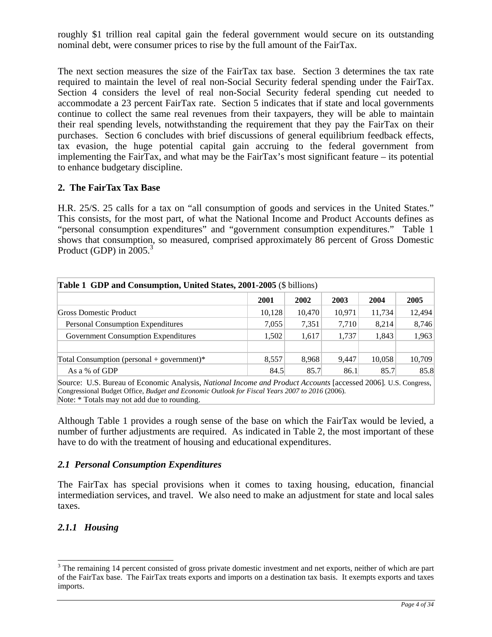roughly \$1 trillion real capital gain the federal government would secure on its outstanding nominal debt, were consumer prices to rise by the full amount of the FairTax.

The next section measures the size of the FairTax tax base. Section 3 determines the tax rate required to maintain the level of real non-Social Security federal spending under the FairTax. Section 4 considers the level of real non-Social Security federal spending cut needed to accommodate a 23 percent FairTax rate. Section 5 indicates that if state and local governments continue to collect the same real revenues from their taxpayers, they will be able to maintain their real spending levels, notwithstanding the requirement that they pay the FairTax on their purchases. Section 6 concludes with brief discussions of general equilibrium feedback effects, tax evasion, the huge potential capital gain accruing to the federal government from implementing the FairTax, and what may be the FairTax's most significant feature – its potential to enhance budgetary discipline.

## **2. The FairTax Tax Base**

H.R. 25/S. 25 calls for a tax on "all consumption of goods and services in the United States." This consists, for the most part, of what the National Income and Product Accounts defines as "personal consumption expenditures" and "government consumption expenditures." Table 1 shows that consumption, so measured, comprised approximately 86 percent of Gross Domestic Product (GDP) in  $2005<sup>3</sup>$ 

| <b>Table 1 GDP and Consumption, United States, 2001-2005 (\$ billions)</b> |        |        |        |        |        |
|----------------------------------------------------------------------------|--------|--------|--------|--------|--------|
|                                                                            | 2001   | 2002   | 2003   | 2004   | 2005   |
| Gross Domestic Product                                                     | 10,128 | 10.470 | 10,971 | 11,734 | 12,494 |
| <b>Personal Consumption Expenditures</b>                                   | 7,055  | 7,351  | 7,710  | 8.214  | 8,746  |
| <b>Government Consumption Expenditures</b>                                 | 1,502  | 1,617  | 1,737  | 1,843  | 1,963  |
| Total Consumption (personal + government)*                                 | 8,557  | 8,968  | 9,447  | 10,058 | 10,709 |
| As a % of GDP                                                              | 84.5   | 85.7   | 86.1   | 85.7   | 85.8   |

Source: U.S. Bureau of Economic Analysis, *National Income and Product Accounts* [accessed 2006]*.* U.S. Congress, Congressional Budget Office, *Budget and Economic Outlook for Fiscal Years 2007 to 2016* (2006). Note:  $*$  Totals may not add due to rounding.

Although Table 1 provides a rough sense of the base on which the FairTax would be levied, a number of further adjustments are required. As indicated in Table 2, the most important of these have to do with the treatment of housing and educational expenditures.

#### *2.1 Personal Consumption Expenditures*

The FairTax has special provisions when it comes to taxing housing, education, financial intermediation services, and travel. We also need to make an adjustment for state and local sales taxes.

# *2.1.1 Housing*

 $\overline{a}$ 

 $3$  The remaining 14 percent consisted of gross private domestic investment and net exports, neither of which are part of the FairTax base. The FairTax treats exports and imports on a destination tax basis. It exempts exports and taxes imports.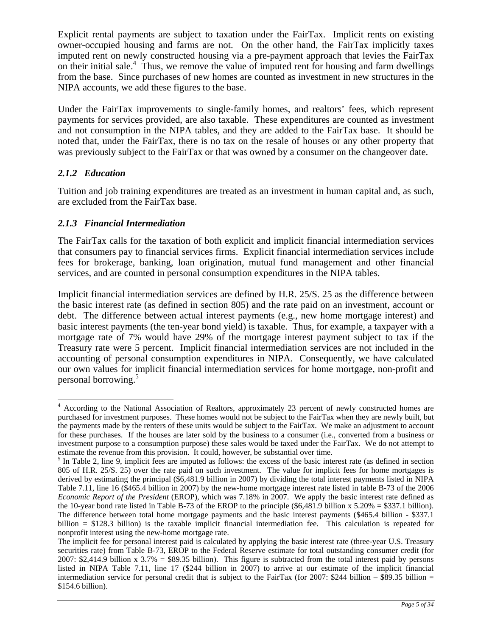Explicit rental payments are subject to taxation under the FairTax. Implicit rents on existing owner-occupied housing and farms are not. On the other hand, the FairTax implicitly taxes imputed rent on newly constructed housing via a pre-payment approach that levies the FairTax on their initial sale.<sup>4</sup> Thus, we remove the value of imputed rent for housing and farm dwellings from the base. Since purchases of new homes are counted as investment in new structures in the NIPA accounts, we add these figures to the base.

Under the FairTax improvements to single-family homes, and realtors' fees, which represent payments for services provided, are also taxable. These expenditures are counted as investment and not consumption in the NIPA tables, and they are added to the FairTax base. It should be noted that, under the FairTax, there is no tax on the resale of houses or any other property that was previously subject to the FairTax or that was owned by a consumer on the changeover date.

# *2.1.2 Education*

Tuition and job training expenditures are treated as an investment in human capital and, as such, are excluded from the FairTax base.

# *2.1.3 Financial Intermediation*

The FairTax calls for the taxation of both explicit and implicit financial intermediation services that consumers pay to financial services firms. Explicit financial intermediation services include fees for brokerage, banking, loan origination, mutual fund management and other financial services, and are counted in personal consumption expenditures in the NIPA tables.

Implicit financial intermediation services are defined by H.R. 25/S. 25 as the difference between the basic interest rate (as defined in section 805) and the rate paid on an investment, account or debt. The difference between actual interest payments (e.g., new home mortgage interest) and basic interest payments (the ten-year bond yield) is taxable. Thus, for example, a taxpayer with a mortgage rate of 7% would have 29% of the mortgage interest payment subject to tax if the Treasury rate were 5 percent. Implicit financial intermediation services are not included in the accounting of personal consumption expenditures in NIPA. Consequently, we have calculated our own values for implicit financial intermediation services for home mortgage, non-profit and personal borrowing.5

<sup>&</sup>lt;sup>4</sup> According to the National Association of Realtors, approximately 23 percent of newly constructed homes are purchased for investment purposes. These homes would not be subject to the FairTax when they are newly built, but the payments made by the renters of these units would be subject to the FairTax. We make an adjustment to account for these purchases. If the houses are later sold by the business to a consumer (i.e., converted from a business or investment purpose to a consumption purpose) these sales would be taxed under the FairTax. We do not attempt to

estimate the revenue from this provision. It could, however, be substantial over time.<br><sup>5</sup> In Table 2, line 9, implicit fees are imputed as follows: the excess of the basic interest rate (as defined in section 805 of H.R. 25/S. 25) over the rate paid on such investment. The value for implicit fees for home mortgages is derived by estimating the principal (\$6,481.9 billion in 2007) by dividing the total interest payments listed in NIPA Table 7.11, line 16 (\$465.4 billion in 2007) by the new-home mortgage interest rate listed in table B-73 of the 2006 *Economic Report of the President* (EROP), which was 7.18% in 2007. We apply the basic interest rate defined as the 10-year bond rate listed in Table B-73 of the EROP to the principle  $(\$6,481.9$  billion x  $5.20\% = \$337.1$  billion). The difference between total home mortgage payments and the basic interest payments (\$465.4 billion - \$337.1 billion = \$128.3 billion) is the taxable implicit financial intermediation fee. This calculation is repeated for nonprofit interest using the new-home mortgage rate.

The implicit fee for personal interest paid is calculated by applying the basic interest rate (three-year U.S. Treasury securities rate) from Table B-73, EROP to the Federal Reserve estimate for total outstanding consumer credit (for 2007: \$2,414.9 billion x  $3.7\% =$  \$89.35 billion). This figure is subtracted from the total interest paid by persons listed in NIPA Table 7.11, line 17 (\$244 billion in 2007) to arrive at our estimate of the implicit financial intermediation service for personal credit that is subject to the FairTax (for 2007: \$244 billion – \$89.35 billion = \$154.6 billion).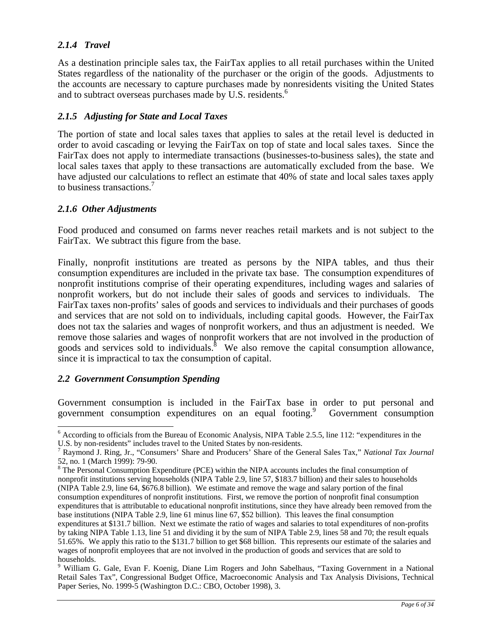# *2.1.4 Travel*

As a destination principle sales tax, the FairTax applies to all retail purchases within the United States regardless of the nationality of the purchaser or the origin of the goods. Adjustments to the accounts are necessary to capture purchases made by nonresidents visiting the United States and to subtract overseas purchases made by U.S. residents.<sup>6</sup>

## *2.1.5 Adjusting for State and Local Taxes*

The portion of state and local sales taxes that applies to sales at the retail level is deducted in order to avoid cascading or levying the FairTax on top of state and local sales taxes. Since the FairTax does not apply to intermediate transactions (businesses-to-business sales), the state and local sales taxes that apply to these transactions are automatically excluded from the base. We have adjusted our calculations to reflect an estimate that 40% of state and local sales taxes apply to business transactions.<sup>7</sup>

#### *2.1.6 Other Adjustments*

Food produced and consumed on farms never reaches retail markets and is not subject to the FairTax. We subtract this figure from the base.

Finally, nonprofit institutions are treated as persons by the NIPA tables, and thus their consumption expenditures are included in the private tax base. The consumption expenditures of nonprofit institutions comprise of their operating expenditures, including wages and salaries of nonprofit workers, but do not include their sales of goods and services to individuals. The FairTax taxes non-profits' sales of goods and services to individuals and their purchases of goods and services that are not sold on to individuals, including capital goods. However, the FairTax does not tax the salaries and wages of nonprofit workers, and thus an adjustment is needed. We remove those salaries and wages of nonprofit workers that are not involved in the production of goods and services sold to individuals.<sup>8</sup> We also remove the capital consumption allowance, since it is impractical to tax the consumption of capital.

#### *2.2 Government Consumption Spending*

 $\overline{a}$ 

Government consumption is included in the FairTax base in order to put personal and government consumption expenditures on an equal footing.<sup>9</sup> Government consumption

<sup>&</sup>lt;sup>6</sup> According to officials from the Bureau of Economic Analysis, NIPA Table 2.5.5, line 112: "expenditures in the U.S. by non-residents" includes travel to the United States by non-residents.

Raymond J. Ring, Jr., "Consumers' Share and Producers' Share of the General Sales Tax," *National Tax Journal* 52, no. 1 (March 1999): 79-90.

<sup>&</sup>lt;sup>8</sup> The Personal Consumption Expenditure (PCE) within the NIPA accounts includes the final consumption of nonprofit institutions serving households (NIPA Table 2.9, line 57, \$183.7 billion) and their sales to households (NIPA Table 2.9, line 64, \$676.8 billion). We estimate and remove the wage and salary portion of the final consumption expenditures of nonprofit institutions. First, we remove the portion of nonprofit final consumption expenditures that is attributable to educational nonprofit institutions, since they have already been removed from the base institutions (NIPA Table 2.9, line 61 minus line 67, \$52 billion). This leaves the final consumption expenditures at \$131.7 billion. Next we estimate the ratio of wages and salaries to total expenditures of non-profits by taking NIPA Table 1.13, line 51 and dividing it by the sum of NIPA Table 2.9, lines 58 and 70; the result equals

<sup>51.65%.</sup> We apply this ratio to the \$131.7 billion to get \$68 billion. This represents our estimate of the salaries and wages of nonprofit employees that are not involved in the production of goods and services that are sold to households. <sup>9</sup> William G. Gale, Evan F. Koenig, Diane Lim Rogers and John Sabelhaus, "Taxing Government in a National

Retail Sales Tax", Congressional Budget Office, Macroeconomic Analysis and Tax Analysis Divisions, Technical Paper Series, No. 1999-5 (Washington D.C.: CBO, October 1998), 3.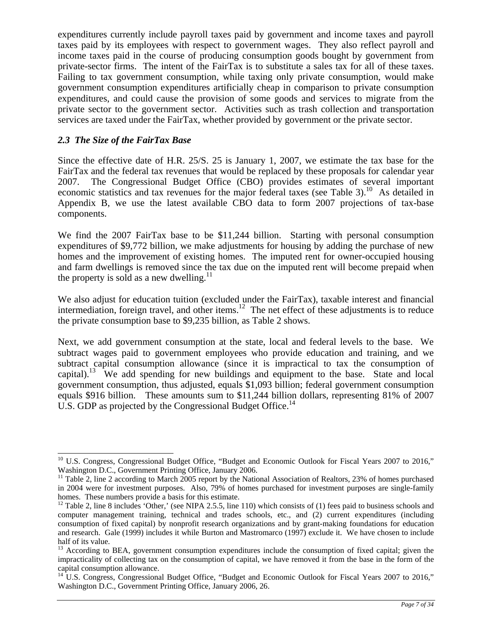expenditures currently include payroll taxes paid by government and income taxes and payroll taxes paid by its employees with respect to government wages. They also reflect payroll and income taxes paid in the course of producing consumption goods bought by government from private-sector firms. The intent of the FairTax is to substitute a sales tax for all of these taxes. Failing to tax government consumption, while taxing only private consumption, would make government consumption expenditures artificially cheap in comparison to private consumption expenditures, and could cause the provision of some goods and services to migrate from the private sector to the government sector. Activities such as trash collection and transportation services are taxed under the FairTax, whether provided by government or the private sector.

# *2.3 The Size of the FairTax Base*

Since the effective date of H.R. 25/S. 25 is January 1, 2007, we estimate the tax base for the FairTax and the federal tax revenues that would be replaced by these proposals for calendar year 2007. The Congressional Budget Office (CBO) provides estimates of several important economic statistics and tax revenues for the major federal taxes (see Table 3).<sup>10</sup> As detailed in Appendix B, we use the latest available CBO data to form 2007 projections of tax-base components.

We find the 2007 FairTax base to be \$11,244 billion. Starting with personal consumption expenditures of \$9,772 billion, we make adjustments for housing by adding the purchase of new homes and the improvement of existing homes. The imputed rent for owner-occupied housing and farm dwellings is removed since the tax due on the imputed rent will become prepaid when the property is sold as a new dwelling.<sup>11</sup>

We also adjust for education tuition (excluded under the FairTax), taxable interest and financial intermediation, foreign travel, and other items.<sup>12</sup> The net effect of these adjustments is to reduce the private consumption base to \$9,235 billion, as Table 2 shows.

Next, we add government consumption at the state, local and federal levels to the base. We subtract wages paid to government employees who provide education and training, and we subtract capital consumption allowance (since it is impractical to tax the consumption of capital).<sup>13</sup> We add spending for new buildings and equipment to the base. State and local government consumption, thus adjusted, equals \$1,093 billion; federal government consumption equals \$916 billion. These amounts sum to \$11,244 billion dollars, representing 81% of 2007 U.S. GDP as projected by the Congressional Budget Office.<sup>14</sup>

 $\overline{\phantom{a}}$ <sup>10</sup> U.S. Congress, Congressional Budget Office, "Budget and Economic Outlook for Fiscal Years 2007 to 2016," Washington D.C., Government Printing Office, January 2006.

 $11$  Table 2, line 2 according to March 2005 report by the National Association of Realtors, 23% of homes purchased in 2004 were for investment purposes. Also, 79% of homes purchased for investment purposes are single-family homes. These numbers provide a basis for this estimate.

<sup>&</sup>lt;sup>12</sup> Table 2, line 8 includes 'Other,' (see NIPA 2.5.5, line 110) which consists of (1) fees paid to business schools and computer management training, technical and trades schools, etc., and (2) current expenditures (including consumption of fixed capital) by nonprofit research organizations and by grant-making foundations for education and research. Gale (1999) includes it while Burton and Mastromarco (1997) exclude it. We have chosen to include half of its value.

<sup>&</sup>lt;sup>13</sup> According to BEA, government consumption expenditures include the consumption of fixed capital; given the impracticality of collecting tax on the consumption of capital, we have removed it from the base in the form of the capital consumption allowance.

<sup>&</sup>lt;sup>14</sup> U.S. Congress, Congressional Budget Office, "Budget and Economic Outlook for Fiscal Years 2007 to 2016," Washington D.C., Government Printing Office, January 2006, 26.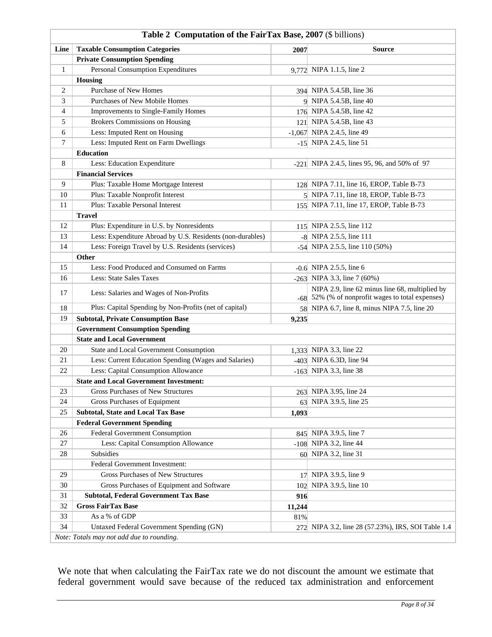|              | <b>Table 4</b> Computation of the Pan Tax Dase, 2007 ( $\phi$ bimons) |        |                                                                                                    |  |  |
|--------------|-----------------------------------------------------------------------|--------|----------------------------------------------------------------------------------------------------|--|--|
| Line         | <b>Taxable Consumption Categories</b>                                 | 2007   | <b>Source</b>                                                                                      |  |  |
|              | <b>Private Consumption Spending</b>                                   |        |                                                                                                    |  |  |
| $\mathbf{1}$ | <b>Personal Consumption Expenditures</b>                              |        | 9,772 NIPA 1.1.5, line 2                                                                           |  |  |
|              | <b>Housing</b>                                                        |        |                                                                                                    |  |  |
| 2            | Purchase of New Homes                                                 |        | 394 NIPA 5.4.5B, line 36                                                                           |  |  |
| 3            | Purchases of New Mobile Homes                                         |        | 9 NIPA 5.4.5B, line 40                                                                             |  |  |
| 4            | Improvements to Single-Family Homes                                   |        | 176 NIPA 5.4.5B, line 42                                                                           |  |  |
| 5            | <b>Brokers Commissions on Housing</b>                                 |        | 121 NIPA 5.4.5B, line 43                                                                           |  |  |
| 6            | Less: Imputed Rent on Housing                                         |        | $-1,067$ NIPA 2.4.5, line 49                                                                       |  |  |
| 7            | Less: Imputed Rent on Farm Dwellings                                  | $-15$  | NIPA 2.4.5, line 51                                                                                |  |  |
|              | <b>Education</b>                                                      |        |                                                                                                    |  |  |
| 8            | Less: Education Expenditure                                           |        | $-221$ NIPA 2.4.5, lines 95, 96, and 50% of 97                                                     |  |  |
|              | <b>Financial Services</b>                                             |        |                                                                                                    |  |  |
| 9            | Plus: Taxable Home Mortgage Interest                                  |        | 128 NIPA 7.11, line 16, EROP, Table B-73                                                           |  |  |
| 10           | Plus: Taxable Nonprofit Interest                                      |        | 5 NIPA 7.11, line 18, EROP, Table B-73                                                             |  |  |
| 11           | Plus: Taxable Personal Interest                                       |        | 155 NIPA 7.11, line 17, EROP, Table B-73                                                           |  |  |
|              | <b>Travel</b>                                                         |        |                                                                                                    |  |  |
| 12           | Plus: Expenditure in U.S. by Nonresidents                             |        | 115 NIPA 2.5.5, line 112                                                                           |  |  |
| 13           | Less: Expenditure Abroad by U.S. Residents (non-durables)             |        | -8 NIPA 2.5.5, line 111                                                                            |  |  |
| 14           | Less: Foreign Travel by U.S. Residents (services)                     |        | $-54$ NIPA 2.5.5, line 110 (50%)                                                                   |  |  |
|              | Other                                                                 |        |                                                                                                    |  |  |
| 15           | Less: Food Produced and Consumed on Farms                             |        | $-0.6$ NIPA 2.5.5, line 6                                                                          |  |  |
| 16           | Less: State Sales Taxes                                               |        | -263 NIPA 3.3, line $7(60%)$                                                                       |  |  |
| 17           | Less: Salaries and Wages of Non-Profits                               |        | NIPA 2.9, line 62 minus line 68, multiplied by<br>-68 52% (% of nonprofit wages to total expenses) |  |  |
| 18           | Plus: Capital Spending by Non-Profits (net of capital)                |        | 58 NIPA 6.7, line 8, minus NIPA 7.5, line 20                                                       |  |  |
| 19           | <b>Subtotal, Private Consumption Base</b>                             | 9,235  |                                                                                                    |  |  |
|              | <b>Government Consumption Spending</b>                                |        |                                                                                                    |  |  |
|              | <b>State and Local Government</b>                                     |        |                                                                                                    |  |  |
| 20           | State and Local Government Consumption                                |        | 1,333 NIPA 3.3, line 22                                                                            |  |  |
| 21           | Less: Current Education Spending (Wages and Salaries)                 |        | $-403$ NIPA 6.3D, line 94                                                                          |  |  |
| 22           | Less: Capital Consumption Allowance                                   |        | $-163$ NIPA 3.3, line 38                                                                           |  |  |
|              | <b>State and Local Government Investment:</b>                         |        |                                                                                                    |  |  |
| 23           | <b>Gross Purchases of New Structures</b>                              |        | 263 NIPA 3.95, line 24                                                                             |  |  |
| 24           | Gross Purchases of Equipment                                          |        | 63 NIPA 3.9.5, line 25                                                                             |  |  |
| 25           | <b>Subtotal, State and Local Tax Base</b>                             | 1,093  |                                                                                                    |  |  |
|              | <b>Federal Government Spending</b>                                    |        |                                                                                                    |  |  |
| 26           | Federal Government Consumption                                        |        | 845 NIPA 3.9.5, line 7                                                                             |  |  |
| 27           | Less: Capital Consumption Allowance                                   | $-108$ | NIPA 3.2, line 44                                                                                  |  |  |
| 28           | Subsidies                                                             |        | 60 NIPA 3.2, line 31                                                                               |  |  |
|              | Federal Government Investment:                                        |        |                                                                                                    |  |  |
| 29           | Gross Purchases of New Structures                                     | 17     | NIPA 3.9.5, line 9                                                                                 |  |  |
| 30           | Gross Purchases of Equipment and Software                             | 102    | NIPA 3.9.5, line 10                                                                                |  |  |
| 31           | <b>Subtotal, Federal Government Tax Base</b>                          | 916    |                                                                                                    |  |  |
| 32           | <b>Gross FairTax Base</b>                                             | 11,244 |                                                                                                    |  |  |
| 33           | As a % of GDP                                                         | 81%    |                                                                                                    |  |  |
| 34           | Untaxed Federal Government Spending (GN)                              |        | 272 NIPA 3.2, line 28 (57.23%), IRS, SOI Table 1.4                                                 |  |  |
|              | Note: Totals may not add due to rounding.                             |        |                                                                                                    |  |  |

#### **Table 2 Computation of the FairTax Base, 2007** (\$ billions)

We note that when calculating the FairTax rate we do not discount the amount we estimate that federal government would save because of the reduced tax administration and enforcement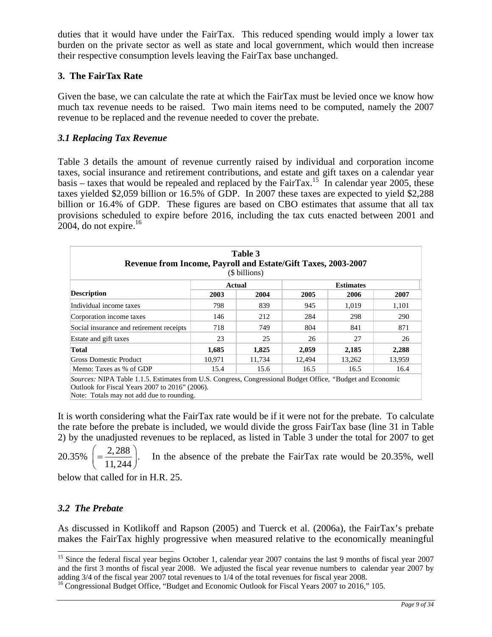duties that it would have under the FairTax. This reduced spending would imply a lower tax burden on the private sector as well as state and local government, which would then increase their respective consumption levels leaving the FairTax base unchanged.

# **3. The FairTax Rate**

Given the base, we can calculate the rate at which the FairTax must be levied once we know how much tax revenue needs to be raised. Two main items need to be computed, namely the 2007 revenue to be replaced and the revenue needed to cover the prebate.

## *3.1 Replacing Tax Revenue*

Table 3 details the amount of revenue currently raised by individual and corporation income taxes, social insurance and retirement contributions, and estate and gift taxes on a calendar year basis – taxes that would be repealed and replaced by the FairTax.<sup>15</sup> In calendar year 2005, these taxes yielded \$2,059 billion or 16.5% of GDP. In 2007 these taxes are expected to yield \$2,288 billion or 16.4% of GDP. These figures are based on CBO estimates that assume that all tax provisions scheduled to expire before 2016, including the tax cuts enacted between 2001 and 2004, do not expire. $16$ 

| Table 3<br>Revenue from Income, Payroll and Estate/Gift Taxes, 2003-2007<br>(\$ billions)                  |                                   |        |        |        |        |
|------------------------------------------------------------------------------------------------------------|-----------------------------------|--------|--------|--------|--------|
|                                                                                                            | <b>Actual</b><br><b>Estimates</b> |        |        |        |        |
| <b>Description</b>                                                                                         | 2003                              | 2004   | 2005   | 2006   | 2007   |
| Individual income taxes                                                                                    | 798                               | 839    | 945    | 1,019  | 1,101  |
| Corporation income taxes                                                                                   | 146                               | 212    | 284    | 298    | 290    |
| Social insurance and retirement receipts                                                                   | 718                               | 749    | 804    | 841    | 871    |
| Estate and gift taxes                                                                                      | 23                                | 25     | 26     | 27     | 26     |
| 1,825<br>2,059<br>2,185<br>1,685<br>2,288<br><b>Total</b>                                                  |                                   |        |        |        |        |
| Gross Domestic Product                                                                                     | 10.971                            | 11,734 | 12,494 | 13,262 | 13,959 |
| Memo: Taxes as % of GDP                                                                                    | 15.4                              | 15.6   | 16.5   | 16.5   | 16.4   |
| Sources: NIPA Table 1.1.5. Estimates from U.S. Congress, Congressional Budget Office, "Budget and Economic |                                   |        |        |        |        |

Outlook for Fiscal Years 2007 to 2016" (2006)*.*  Note: Totals may not add due to rounding.

It is worth considering what the FairTax rate would be if it were not for the prebate. To calculate the rate before the prebate is included, we would divide the gross FairTax base (line 31 in Table 2) by the unadjusted revenues to be replaced, as listed in Table 3 under the total for 2007 to get

 $20.35\% \left( = \frac{2,288}{11,244} \right).$ In the absence of the prebate the FairTax rate would be 20.35%, well

below that called for in H.R. 25.

# *3.2 The Prebate*

 $\overline{\phantom{a}}$ 

As discussed in Kotlikoff and Rapson (2005) and Tuerck et al. (2006a), the FairTax's prebate makes the FairTax highly progressive when measured relative to the economically meaningful

<sup>&</sup>lt;sup>15</sup> Since the federal fiscal year begins October 1, calendar year 2007 contains the last 9 months of fiscal year 2007 and the first 3 months of fiscal year 2008. We adjusted the fiscal year revenue numbers to calendar year 2007 by adding 3/4 of the fiscal year 2007 total revenues to 1/4 of the total revenues for fiscal year 2008.

<sup>&</sup>lt;sup>16</sup> Congressional Budget Office, "Budget and Economic Outlook for Fiscal Years 2007 to 2016," 105.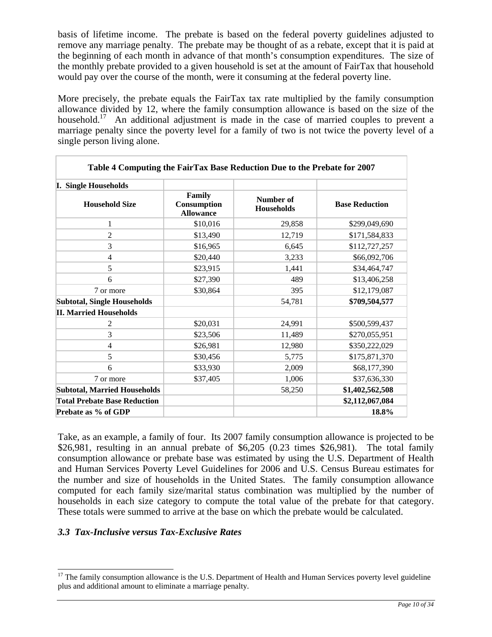basis of lifetime income. The prebate is based on the federal poverty guidelines adjusted to remove any marriage penalty. The prebate may be thought of as a rebate, except that it is paid at the beginning of each month in advance of that month's consumption expenditures. The size of the monthly prebate provided to a given household is set at the amount of FairTax that household would pay over the course of the month, were it consuming at the federal poverty line.

More precisely, the prebate equals the FairTax tax rate multiplied by the family consumption allowance divided by 12, where the family consumption allowance is based on the size of the household.<sup>17</sup> An additional adjustment is made in the case of married couples to prevent a marriage penalty since the poverty level for a family of two is not twice the poverty level of a single person living alone.

| Table 4 Computing the FairTax Base Reduction Due to the Prebate for 2007 |                                           |                                       |                       |  |
|--------------------------------------------------------------------------|-------------------------------------------|---------------------------------------|-----------------------|--|
| <b>I. Single Households</b>                                              |                                           |                                       |                       |  |
| <b>Household Size</b>                                                    | Family<br>Consumption<br><b>Allowance</b> | <b>Number of</b><br><b>Households</b> | <b>Base Reduction</b> |  |
| $\mathbf{1}$                                                             | \$10,016                                  | 29,858                                | \$299,049,690         |  |
| $\overline{2}$                                                           | \$13,490                                  | 12,719                                | \$171,584,833         |  |
| 3                                                                        | \$16,965                                  | 6,645                                 | \$112,727,257         |  |
| $\overline{4}$                                                           | \$20,440                                  | 3,233                                 | \$66,092,706          |  |
| 5                                                                        | \$23,915                                  | 1,441                                 | \$34,464,747          |  |
| 6                                                                        | \$27,390                                  | 489                                   | \$13,406,258          |  |
| 7 or more                                                                | \$30,864                                  | 395                                   | \$12,179,087          |  |
| <b>Subtotal, Single Households</b>                                       |                                           | 54,781                                | \$709,504,577         |  |
| <b>II. Married Households</b>                                            |                                           |                                       |                       |  |
| 2                                                                        | \$20,031                                  | 24,991                                | \$500,599,437         |  |
| 3                                                                        | \$23,506                                  | 11,489                                | \$270,055,951         |  |
| $\overline{4}$                                                           | \$26,981                                  | 12,980                                | \$350,222,029         |  |
| 5                                                                        | \$30,456                                  | 5,775                                 | \$175,871,370         |  |
| 6                                                                        | \$33,930                                  | 2,009                                 | \$68,177,390          |  |
| 7 or more                                                                | \$37,405                                  | 1,006                                 | \$37,636,330          |  |
| <b>Subtotal, Married Households</b>                                      |                                           | 58,250                                | \$1,402,562,508       |  |
| <b>Total Prebate Base Reduction</b>                                      |                                           |                                       | \$2,112,067,084       |  |
| Prebate as % of GDP                                                      |                                           |                                       | 18.8%                 |  |

Take, as an example, a family of four. Its 2007 family consumption allowance is projected to be \$26,981, resulting in an annual prebate of \$6,205 (0.23 times \$26,981). The total family consumption allowance or prebate base was estimated by using the U.S. Department of Health and Human Services Poverty Level Guidelines for 2006 and U.S. Census Bureau estimates for the number and size of households in the United States. The family consumption allowance computed for each family size/marital status combination was multiplied by the number of households in each size category to compute the total value of the prebate for that category. These totals were summed to arrive at the base on which the prebate would be calculated.

#### *3.3 Tax-Inclusive versus Tax-Exclusive Rates*

 $\overline{\phantom{a}}$  $17$  The family consumption allowance is the U.S. Department of Health and Human Services poverty level guideline plus and additional amount to eliminate a marriage penalty.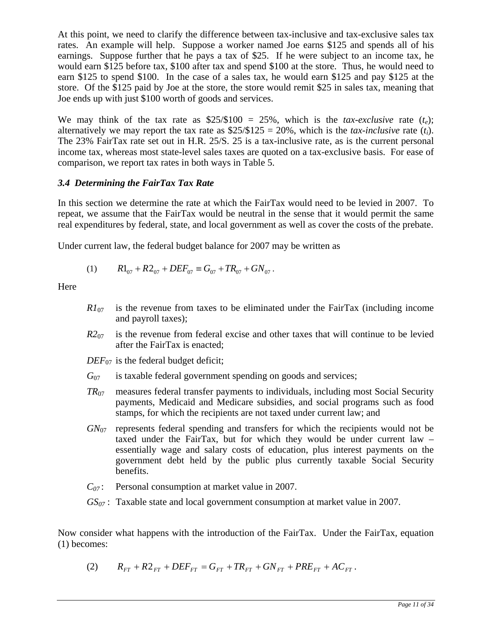At this point, we need to clarify the difference between tax-inclusive and tax-exclusive sales tax rates. An example will help. Suppose a worker named Joe earns \$125 and spends all of his earnings. Suppose further that he pays a tax of \$25. If he were subject to an income tax, he would earn \$125 before tax, \$100 after tax and spend \$100 at the store. Thus, he would need to earn \$125 to spend \$100. In the case of a sales tax, he would earn \$125 and pay \$125 at the store. Of the \$125 paid by Joe at the store, the store would remit \$25 in sales tax, meaning that Joe ends up with just \$100 worth of goods and services.

We may think of the tax rate as  $$25/\$100 = 25\%$ , which is the *tax-exclusive* rate (*t<sub>e</sub>*); alternatively we may report the tax rate as  $$25/\$125 = 20\%$ , which is the *tax-inclusive* rate (*t<sub>i</sub>*). The 23% FairTax rate set out in H.R. 25/S. 25 is a tax-inclusive rate, as is the current personal income tax, whereas most state-level sales taxes are quoted on a tax-exclusive basis. For ease of comparison, we report tax rates in both ways in Table 5.

## *3.4 Determining the FairTax Tax Rate*

In this section we determine the rate at which the FairTax would need to be levied in 2007. To repeat, we assume that the FairTax would be neutral in the sense that it would permit the same real expenditures by federal, state, and local government as well as cover the costs of the prebate.

Under current law, the federal budget balance for 2007 may be written as

(1) 
$$
R1_{07} + R2_{07} + DEF_{07} \equiv G_{07} + TR_{07} + GN_{07}.
$$

**Here** 

- $R_{107}$  is the revenue from taxes to be eliminated under the FairTax (including income and payroll taxes);
- $R2_{07}$  is the revenue from federal excise and other taxes that will continue to be levied after the FairTax is enacted;
- $DEF_{07}$  is the federal budget deficit;
- $G<sub>07</sub>$  is taxable federal government spending on goods and services;
- *TR*07 measures federal transfer payments to individuals, including most Social Security payments, Medicaid and Medicare subsidies, and social programs such as food stamps, for which the recipients are not taxed under current law; and
- *GN*07 represents federal spending and transfers for which the recipients would not be taxed under the FairTax, but for which they would be under current law – essentially wage and salary costs of education, plus interest payments on the government debt held by the public plus currently taxable Social Security benefits.
- *C*<sub>07</sub>: Personal consumption at market value in 2007.
- *GS*<sub>07</sub>: Taxable state and local government consumption at market value in 2007.

Now consider what happens with the introduction of the FairTax. Under the FairTax, equation (1) becomes:

(2) 
$$
R_{FT} + R2_{FT} + DEF_{FT} = G_{FT} + TR_{FT} + GN_{FT} + PRE_{FT} + AC_{FT}.
$$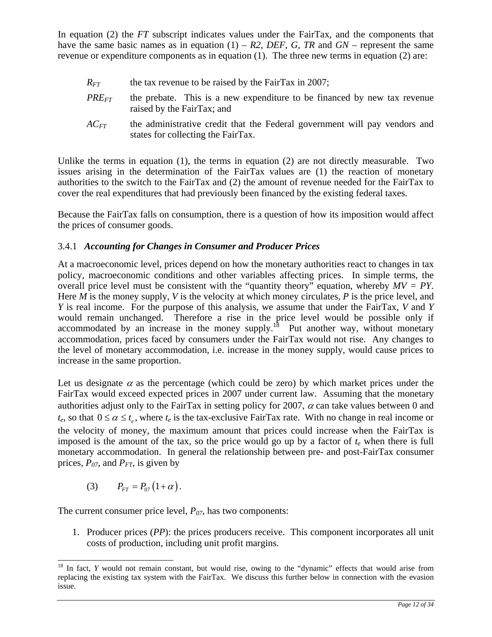In equation (2) the *FT* subscript indicates values under the FairTax, and the components that have the same basic names as in equation  $(1)$  – *R2*, *DEF*, *G*, *TR* and *GN* – represent the same revenue or expenditure components as in equation (1). The three new terms in equation (2) are:

- $R_{FT}$  the tax revenue to be raised by the FairTax in 2007;
- *PRE<sub>FT</sub>* the prebate. This is a new expenditure to be financed by new tax revenue raised by the FairTax; and
- *AC<sub>FT</sub>* the administrative credit that the Federal government will pay vendors and states for collecting the FairTax.

Unlike the terms in equation  $(1)$ , the terms in equation  $(2)$  are not directly measurable. Two issues arising in the determination of the FairTax values are (1) the reaction of monetary authorities to the switch to the FairTax and (2) the amount of revenue needed for the FairTax to cover the real expenditures that had previously been financed by the existing federal taxes.

Because the FairTax falls on consumption, there is a question of how its imposition would affect the prices of consumer goods.

# 3.4.1*Accounting for Changes in Consumer and Producer Prices*

At a macroeconomic level, prices depend on how the monetary authorities react to changes in tax policy, macroeconomic conditions and other variables affecting prices. In simple terms, the overall price level must be consistent with the "quantity theory" equation, whereby *MV = PY*. Here *M* is the money supply, *V* is the velocity at which money circulates, *P* is the price level, and *Y* is real income. For the purpose of this analysis, we assume that under the FairTax, *V* and *Y*  would remain unchanged. Therefore a rise in the price level would be possible only if accommodated by an increase in the money supply.<sup>18</sup> Put another way, without monetary accommodation, prices faced by consumers under the FairTax would not rise. Any changes to the level of monetary accommodation, i.e. increase in the money supply, would cause prices to increase in the same proportion.

Let us designate  $\alpha$  as the percentage (which could be zero) by which market prices under the FairTax would exceed expected prices in 2007 under current law. Assuming that the monetary authorities adjust only to the FairTax in setting policy for 2007,  $\alpha$  can take values between 0 and  $t_e$ , so that  $0 \le \alpha \le t_e$ , where  $t_e$  is the tax-exclusive FairTax rate. With no change in real income or the velocity of money, the maximum amount that prices could increase when the FairTax is imposed is the amount of the tax, so the price would go up by a factor of  $t_e$  when there is full monetary accommodation. In general the relationship between pre- and post-FairTax consumer prices,  $P_{07}$ , and  $P_{FT}$ , is given by

(3)  $P_{FT} = P_{07} (1 + \alpha).$ 

The current consumer price level,  $P_{07}$ , has two components:

1. Producer prices (*PP*): the prices producers receive. This component incorporates all unit costs of production, including unit profit margins.

 $\overline{a}$ <sup>18</sup> In fact, *Y* would not remain constant, but would rise, owing to the "dynamic" effects that would arise from replacing the existing tax system with the FairTax. We discuss this further below in connection with the evasion issue.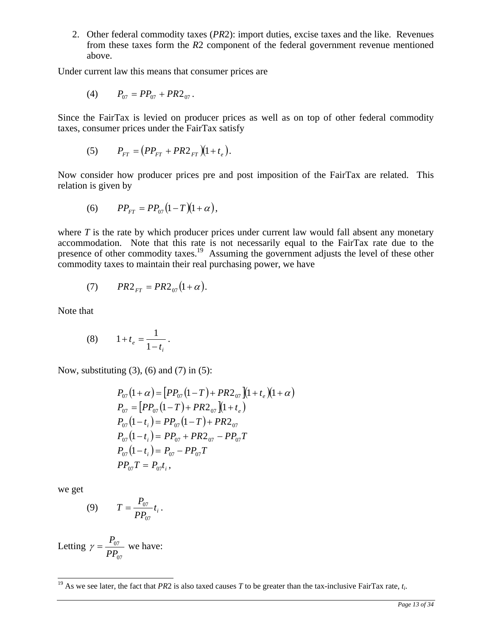2. Other federal commodity taxes (*PR*2): import duties, excise taxes and the like. Revenues from these taxes form the *R*2 component of the federal government revenue mentioned above.

Under current law this means that consumer prices are

(4) 
$$
P_{07} = PP_{07} + PR2_{07}.
$$

Since the FairTax is levied on producer prices as well as on top of other federal commodity taxes, consumer prices under the FairTax satisfy

(5) 
$$
P_{FT} = (PP_{FT} + PR2_{FT})(1+t_e).
$$

Now consider how producer prices pre and post imposition of the FairTax are related. This relation is given by

(6) 
$$
PP_{FT} = PP_{07}(1-T)(1+\alpha),
$$

where  $T$  is the rate by which producer prices under current law would fall absent any monetary accommodation. Note that this rate is not necessarily equal to the FairTax rate due to the presence of other commodity taxes.<sup>19</sup> Assuming the government adjusts the level of these other commodity taxes to maintain their real purchasing power, we have

(7) 
$$
PR2_{FT} = PR2_{07}(1+\alpha).
$$

Note that

(8) 
$$
1+t_e = \frac{1}{1-t_i}.
$$

Now, substituting  $(3)$ ,  $(6)$  and  $(7)$  in  $(5)$ :

$$
P_{07}(1+\alpha) = [PP_{07}(1-T) + PR2_{07}](1+t_e)(1+\alpha)
$$
  
\n
$$
P_{07} = [PP_{07}(1-T) + PR2_{07}](1+t_e)
$$
  
\n
$$
P_{07}(1-t_i) = PP_{07}(1-T) + PR2_{07}
$$
  
\n
$$
P_{07}(1-t_i) = PP_{07} + PR2_{07} - PP_{07}T
$$
  
\n
$$
P_{07}(1-t_i) = P_{07} - PP_{07}T
$$
  
\n
$$
PP_{07}T = P_{07}t_i
$$
,

we get

 $\overline{a}$ 

(9) 
$$
T = \frac{P_{07}}{PP_{07}}t_i.
$$

Letting 
$$
\gamma = \frac{P_{07}}{PP_{07}}
$$
 we have:

<sup>&</sup>lt;sup>19</sup> As we see later, the fact that *PR*2 is also taxed causes *T* to be greater than the tax-inclusive FairTax rate,  $t_i$ .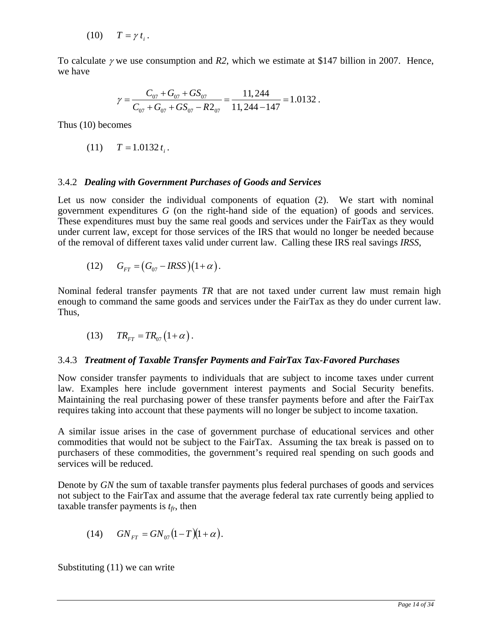$$
(10) \tT = \gamma t_i.
$$

To calculate γ we use consumption and *R2*, which we estimate at \$147 billion in 2007. Hence, we have

$$
\gamma = \frac{C_{07} + G_{07} + GS_{07}}{C_{07} + G_{07} + GS_{07} - R2_{07}} = \frac{11,244}{11,244 - 147} = 1.0132.
$$

Thus (10) becomes

$$
(11) \tT = 1.0132 t_i.
$$

#### 3.4.2*Dealing with Government Purchases of Goods and Services*

Let us now consider the individual components of equation (2). We start with nominal government expenditures *G* (on the right-hand side of the equation) of goods and services. These expenditures must buy the same real goods and services under the FairTax as they would under current law, except for those services of the IRS that would no longer be needed because of the removal of different taxes valid under current law. Calling these IRS real savings *IRSS*,

(12) 
$$
G_{FT} = (G_{07} - IRSS)(1+\alpha)
$$
.

Nominal federal transfer payments *TR* that are not taxed under current law must remain high enough to command the same goods and services under the FairTax as they do under current law. Thus,

$$
(13) \t TRFT = TR07 (1+\alpha).
$$

#### 3.4.3*Treatment of Taxable Transfer Payments and FairTax Tax-Favored Purchases*

Now consider transfer payments to individuals that are subject to income taxes under current law. Examples here include government interest payments and Social Security benefits. Maintaining the real purchasing power of these transfer payments before and after the FairTax requires taking into account that these payments will no longer be subject to income taxation.

A similar issue arises in the case of government purchase of educational services and other commodities that would not be subject to the FairTax. Assuming the tax break is passed on to purchasers of these commodities, the government's required real spending on such goods and services will be reduced.

Denote by *GN* the sum of taxable transfer payments plus federal purchases of goods and services not subject to the FairTax and assume that the average federal tax rate currently being applied to taxable transfer payments is  $t_f$ , then

(14) 
$$
GN_{FT} = GN_{07}(1-T)(1+\alpha).
$$

Substituting (11) we can write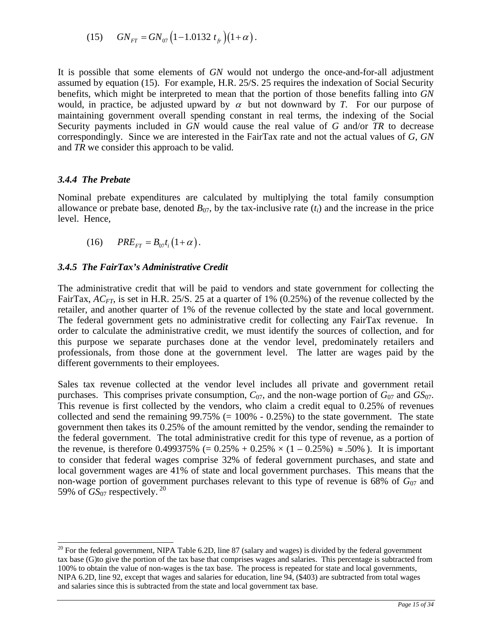(15) 
$$
GN_{FT} = GN_{07} \left(1 - 1.0132 t_f\right) \left(1 + \alpha\right).
$$

It is possible that some elements of *GN* would not undergo the once-and-for-all adjustment assumed by equation (15). For example, H.R. 25/S. 25 requires the indexation of Social Security benefits, which might be interpreted to mean that the portion of those benefits falling into *GN* would, in practice, be adjusted upward by  $\alpha$  but not downward by *T*. For our purpose of maintaining government overall spending constant in real terms, the indexing of the Social Security payments included in *GN* would cause the real value of *G* and/or *TR* to decrease correspondingly. Since we are interested in the FairTax rate and not the actual values of *G*, *GN* and *TR* we consider this approach to be valid.

## *3.4.4 The Prebate*

Nominal prebate expenditures are calculated by multiplying the total family consumption allowance or prebate base, denoted  $B_{07}$ , by the tax-inclusive rate  $(t_i)$  and the increase in the price level. Hence,

$$
(16) \qquad PRE_{FT} = B_{07}t_i\left(1+\alpha\right).
$$

## *3.4.5 The FairTax's Administrative Credit*

The administrative credit that will be paid to vendors and state government for collecting the FairTax, *AC<sub>FT</sub>*, is set in H.R. 25/S. 25 at a quarter of 1% (0.25%) of the revenue collected by the retailer, and another quarter of 1% of the revenue collected by the state and local government. The federal government gets no administrative credit for collecting any FairTax revenue. In order to calculate the administrative credit, we must identify the sources of collection, and for this purpose we separate purchases done at the vendor level, predominately retailers and professionals, from those done at the government level. The latter are wages paid by the different governments to their employees.

Sales tax revenue collected at the vendor level includes all private and government retail purchases. This comprises private consumption,  $C_{07}$ , and the non-wage portion of  $G_{07}$  and  $GS_{07}$ . This revenue is first collected by the vendors, who claim a credit equal to 0.25% of revenues collected and send the remaining  $99.75\%$  (= 100% - 0.25%) to the state government. The state government then takes its 0.25% of the amount remitted by the vendor, sending the remainder to the federal government. The total administrative credit for this type of revenue, as a portion of the revenue, is therefore 0.499375% (=  $0.25\% + 0.25\% \times (1 - 0.25\%) \approx .50\%$ ). It is important to consider that federal wages comprise 32% of federal government purchases, and state and local government wages are 41% of state and local government purchases. This means that the non-wage portion of government purchases relevant to this type of revenue is 68% of *G*07 and 59% of  $GS_{07}$  respectively.<sup>20</sup>

 $\overline{a}$  $20$  For the federal government, NIPA Table 6.2D, line 87 (salary and wages) is divided by the federal government tax base (G)to give the portion of the tax base that comprises wages and salaries. This percentage is subtracted from 100% to obtain the value of non-wages is the tax base. The process is repeated for state and local governments, NIPA 6.2D, line 92, except that wages and salaries for education, line 94, (\$403) are subtracted from total wages and salaries since this is subtracted from the state and local government tax base.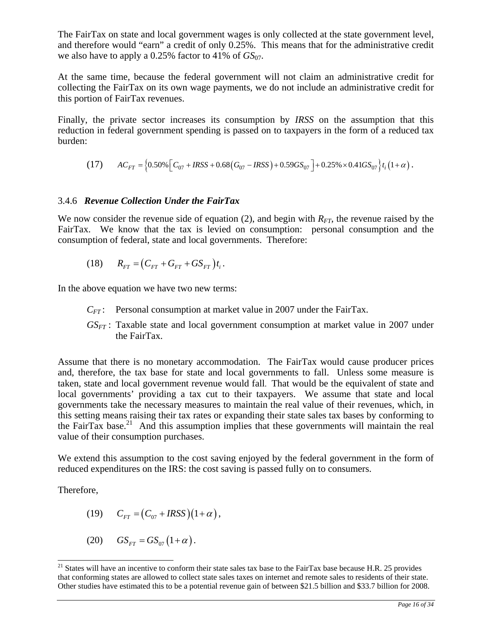The FairTax on state and local government wages is only collected at the state government level, and therefore would "earn" a credit of only 0.25%. This means that for the administrative credit we also have to apply a 0.25% factor to 41% of  $GS_{07}$ .

At the same time, because the federal government will not claim an administrative credit for collecting the FairTax on its own wage payments, we do not include an administrative credit for this portion of FairTax revenues.

Finally, the private sector increases its consumption by *IRSS* on the assumption that this reduction in federal government spending is passed on to taxpayers in the form of a reduced tax burden:

(17) 
$$
AC_{FT} = \left\{0.50\% \left[C_{07} + IRSS + 0.68(G_{07} - IRSS) + 0.59GS_{07}\right] + 0.25\% \times 0.41GS_{07}\right\} t_i\left(1+\alpha\right).
$$

## 3.4.6 *Revenue Collection Under the FairTax*

We now consider the revenue side of equation (2), and begin with  $R_{FT}$ , the revenue raised by the FairTax. We know that the tax is levied on consumption: personal consumption and the consumption of federal, state and local governments. Therefore:

(18) 
$$
R_{FT} = (C_{FT} + G_{FT} + GS_{FT})t_i.
$$

In the above equation we have two new terms:

- *CFT* : Personal consumption at market value in 2007 under the FairTax.
- *GSFT* : Taxable state and local government consumption at market value in 2007 under the FairTax.

Assume that there is no monetary accommodation. The FairTax would cause producer prices and, therefore, the tax base for state and local governments to fall. Unless some measure is taken, state and local government revenue would fall. That would be the equivalent of state and local governments' providing a tax cut to their taxpayers. We assume that state and local governments take the necessary measures to maintain the real value of their revenues, which, in this setting means raising their tax rates or expanding their state sales tax bases by conforming to the FairTax base.<sup>21</sup> And this assumption implies that these governments will maintain the real value of their consumption purchases.

We extend this assumption to the cost saving enjoyed by the federal government in the form of reduced expenditures on the IRS: the cost saving is passed fully on to consumers.

Therefore,

 $\overline{a}$ 

$$
(19) \qquad C_{FT} = (C_{07} + IRSS)(1+\alpha),
$$

$$
(20) \qquad GS_{FT} = GS_{07} (1+\alpha).
$$

<sup>&</sup>lt;sup>21</sup> States will have an incentive to conform their state sales tax base to the FairTax base because H.R. 25 provides that conforming states are allowed to collect state sales taxes on internet and remote sales to residents of their state. Other studies have estimated this to be a potential revenue gain of between \$21.5 billion and \$33.7 billion for 2008.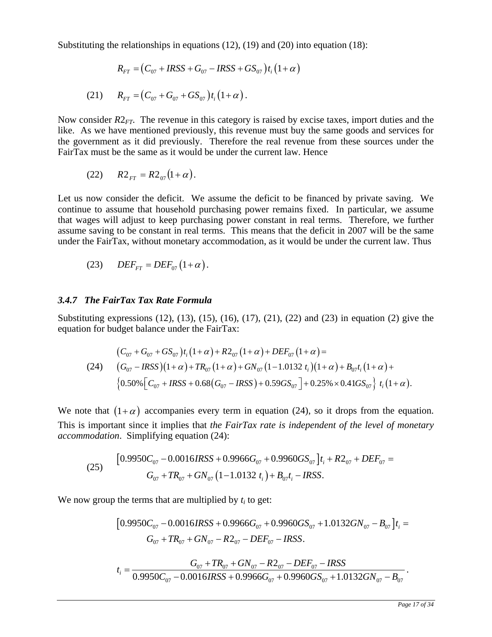Substituting the relationships in equations  $(12)$ ,  $(19)$  and  $(20)$  into equation  $(18)$ :

$$
R_{FT} = (C_{07} + IRSS + G_{07} - IRSS + GS_{07})t_i(1+\alpha)
$$

(21) 
$$
R_{FT} = (C_{07} + G_{07} + GS_{07})t_i(1+\alpha).
$$

Now consider *R*2*FT*. The revenue in this category is raised by excise taxes, import duties and the like. As we have mentioned previously, this revenue must buy the same goods and services for the government as it did previously. Therefore the real revenue from these sources under the FairTax must be the same as it would be under the current law. Hence

(22) 
$$
R2_{FT} = R2_{07}(1+\alpha)
$$
.

Let us now consider the deficit. We assume the deficit to be financed by private saving. We continue to assume that household purchasing power remains fixed. In particular, we assume that wages will adjust to keep purchasing power constant in real terms. Therefore, we further assume saving to be constant in real terms. This means that the deficit in 2007 will be the same under the FairTax, without monetary accommodation, as it would be under the current law. Thus

$$
(23) \tDEF_{FT} = DEF_{07} (1+\alpha).
$$

#### *3.4.7 The FairTax Tax Rate Formula*

Substituting expressions (12), (13), (15), (16), (17), (21), (22) and (23) in equation (2) give the equation for budget balance under the FairTax:

$$
(C_{07} + G_{07} + GS_{07})t_i(1+\alpha) + R2_{07}(1+\alpha) + DEF_{07}(1+\alpha) =
$$
  
(24) 
$$
(G_{07} - IRSS)(1+\alpha) + TR_{07}(1+\alpha) + GN_{07}(1-1.0132 t_i)(1+\alpha) + B_{07}t_i(1+\alpha) +
$$

$$
\{0.50\% [C_{07} + IRSS + 0.68(G_{07} - IRSS) + 0.59GS_{07}] + 0.25\% \times 0.41GS_{07} \} t_i(1+\alpha).
$$

We note that  $(1+\alpha)$  accompanies every term in equation (24), so it drops from the equation. This is important since it implies that *the FairTax rate is independent of the level of monetary accommodation*. Simplifying equation (24):

(25) 
$$
\begin{aligned} \left[0.9950C_{07} - 0.0016IRSS + 0.9966G_{07} + 0.9960GS_{07}\right]t_{i} + R2_{07} + DEF_{07} = \\ G_{07} + TR_{07} + GN_{07} \left(1 - 1.0132 t_{i}\right) + B_{07}t_{i} - IRSS. \end{aligned}
$$

We now group the terms that are multiplied by  $t_i$  to get:

$$
[0.9950C_{07} - 0.0016IRSS + 0.9966G_{07} + 0.9960GS_{07} + 1.0132GN_{07} - B_{07}]t_i = G_{07} + TR_{07} + GN_{07} - R2_{07} - DEF_{07} - IRSS.
$$

$$
t_i = \frac{G_{07} + TR_{07} + GN_{07} - R2_{07} - DEF_{07} - IRSS}{0.9950C_{07} - 0.0016IRSS + 0.9966G_{07} + 0.9960GS_{07} + 1.0132GN_{07} - B_{07}}.
$$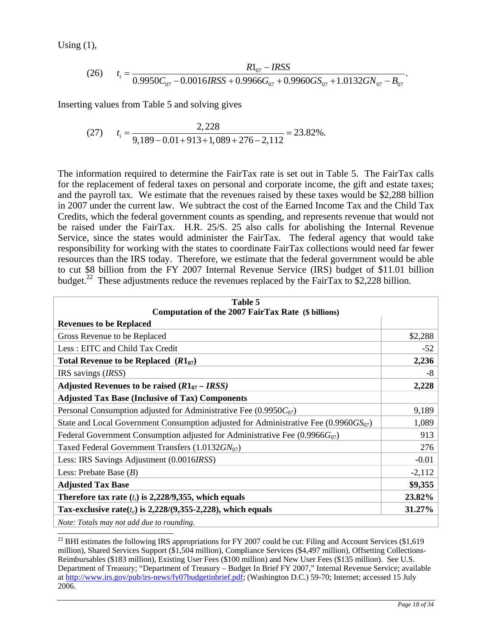Using  $(1)$ ,

 $\overline{\phantom{a}}$ 

(26) 
$$
t_i = \frac{R1_{07} - IRSS}{0.9950C_{07} - 0.0016IRSS + 0.9966G_{07} + 0.9960GS_{07} + 1.0132GN_{07} - B_{07}}.
$$

Inserting values from Table 5 and solving gives

$$
(27) \t t_i = \frac{2,228}{9,189 - 0.01 + 913 + 1,089 + 276 - 2,112} = 23.82\%.
$$

The information required to determine the FairTax rate is set out in Table 5. The FairTax calls for the replacement of federal taxes on personal and corporate income, the gift and estate taxes; and the payroll tax. We estimate that the revenues raised by these taxes would be \$2,288 billion in 2007 under the current law. We subtract the cost of the Earned Income Tax and the Child Tax Credits, which the federal government counts as spending, and represents revenue that would not be raised under the FairTax. H.R. 25/S. 25 also calls for abolishing the Internal Revenue Service, since the states would administer the FairTax. The federal agency that would take responsibility for working with the states to coordinate FairTax collections would need far fewer resources than the IRS today. Therefore, we estimate that the federal government would be able to cut \$8 billion from the FY 2007 Internal Revenue Service (IRS) budget of \$11.01 billion budget.<sup>22</sup> These adjustments reduce the revenues replaced by the FairTax to \$2,228 billion.

| Table 5<br>Computation of the 2007 FairTax Rate (\$ billions)                           |          |  |
|-----------------------------------------------------------------------------------------|----------|--|
| <b>Revenues to be Replaced</b>                                                          |          |  |
| Gross Revenue to be Replaced                                                            | \$2,288  |  |
| Less: EITC and Child Tax Credit                                                         | $-52$    |  |
| Total Revenue to be Replaced $(R1_{07})$                                                | 2,236    |  |
| IRS savings (IRSS)                                                                      | $-8$     |  |
| Adjusted Revenues to be raised $(R1_{07} - IRSS)$                                       | 2,228    |  |
| <b>Adjusted Tax Base (Inclusive of Tax) Components</b>                                  |          |  |
| Personal Consumption adjusted for Administrative Fee $(0.9950C_{07})$                   | 9,189    |  |
| State and Local Government Consumption adjusted for Administrative Fee $(0.9960G_{07})$ | 1,089    |  |
| Federal Government Consumption adjusted for Administrative Fee $(0.9966G_{07})$         | 913      |  |
| Taxed Federal Government Transfers $(1.0132GN_{07})$                                    | 276      |  |
| Less: IRS Savings Adjustment (0.0016IRSS)                                               | $-0.01$  |  |
| Less: Prebate Base $(B)$                                                                | $-2,112$ |  |
| \$9,355<br><b>Adjusted Tax Base</b>                                                     |          |  |
| 23.82%<br>Therefore tax rate $(t_i)$ is 2,228/9,355, which equals                       |          |  |
| Tax-exclusive rate( $t_e$ ) is 2,228/(9,355-2,228), which equals                        | 31.27%   |  |
| Note: Totals may not add due to rounding.                                               |          |  |

 $^{22}$  BHI estimates the following IRS appropriations for FY 2007 could be cut: Filing and Account Services (\$1,619) million), Shared Services Support (\$1,504 million), Compliance Services (\$4,497 million), Offsetting Collections-Reimbursables (\$183 million), Existing User Fees (\$100 million) and New User Fees (\$135 million). See U.S. Department of Treasury; "Department of Treasury – Budget In Brief FY 2007," Internal Revenue Service; available at http://www.irs.gov/pub/irs-news/fy07budgetinbrief.pdf; (Washington D.C.) 59-70; Internet; accessed 15 July 2006.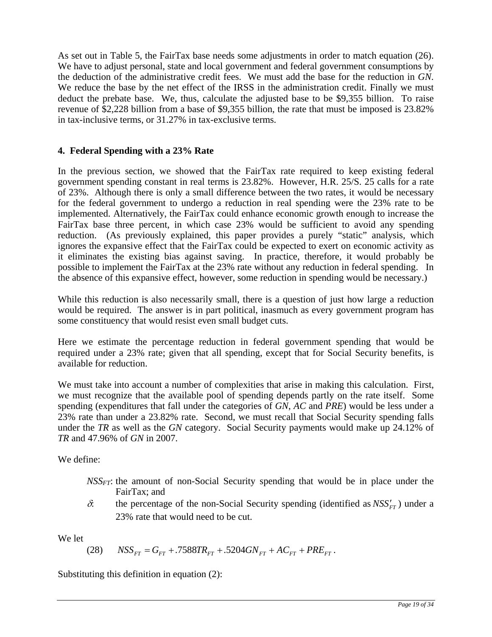As set out in Table 5, the FairTax base needs some adjustments in order to match equation (26). We have to adjust personal, state and local government and federal government consumptions by the deduction of the administrative credit fees. We must add the base for the reduction in *GN*. We reduce the base by the net effect of the IRSS in the administration credit. Finally we must deduct the prebate base. We, thus, calculate the adjusted base to be \$9,355 billion. To raise revenue of \$2,228 billion from a base of \$9,355 billion, the rate that must be imposed is 23.82% in tax-inclusive terms, or 31.27% in tax-exclusive terms.

# **4. Federal Spending with a 23% Rate**

In the previous section, we showed that the FairTax rate required to keep existing federal government spending constant in real terms is 23.82%. However, H.R. 25/S. 25 calls for a rate of 23%. Although there is only a small difference between the two rates, it would be necessary for the federal government to undergo a reduction in real spending were the 23% rate to be implemented. Alternatively, the FairTax could enhance economic growth enough to increase the FairTax base three percent, in which case 23% would be sufficient to avoid any spending reduction. (As previously explained, this paper provides a purely "static" analysis, which ignores the expansive effect that the FairTax could be expected to exert on economic activity as it eliminates the existing bias against saving. In practice, therefore, it would probably be possible to implement the FairTax at the 23% rate without any reduction in federal spending. In the absence of this expansive effect, however, some reduction in spending would be necessary.)

While this reduction is also necessarily small, there is a question of just how large a reduction would be required. The answer is in part political, inasmuch as every government program has some constituency that would resist even small budget cuts.

Here we estimate the percentage reduction in federal government spending that would be required under a 23% rate; given that all spending, except that for Social Security benefits, is available for reduction.

We must take into account a number of complexities that arise in making this calculation. First, we must recognize that the available pool of spending depends partly on the rate itself. Some spending (expenditures that fall under the categories of *GN*, *AC* and *PRE*) would be less under a 23% rate than under a 23.82% rate. Second, we must recall that Social Security spending falls under the *TR* as well as the *GN* category. Social Security payments would make up 24.12% of *TR* and 47.96% of *GN* in 2007.

We define:

- *NSSFT*: the amount of non-Social Security spending that would be in place under the FairTax; and
- $\delta$ : the percentage of the non-Social Security spending (identified as  $NSS'_{FT}$ ) under a 23% rate that would need to be cut.

We let

 $(28)$   $NSS_{FT} = G_{FT} + .7588 TR_{FT} + .5204 G N_{FT} + AC_{FT} + PRE_{FT}$ .

Substituting this definition in equation (2):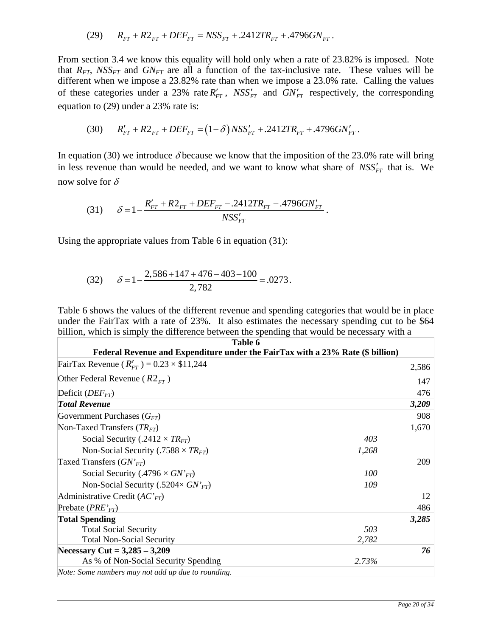(29) 
$$
R_{FT} + R2_{FT} + DEF_{FT} = NSS_{FT} + .2412TR_{FT} + .4796GN_{FT}
$$
.

From section 3.4 we know this equality will hold only when a rate of 23.82% is imposed. Note that  $R_{FT}$ ,  $NSS_{FT}$  and  $GN_{FT}$  are all a function of the tax-inclusive rate. These values will be different when we impose a 23.82% rate than when we impose a 23.0% rate. Calling the values of these categories under a 23% rate  $R'_{FT}$ ,  $NSS'_{FT}$  and  $GN'_{FT}$  respectively, the corresponding equation to (29) under a 23% rate is:

$$
(30) \qquad R'_{FT} + R2_{FT} + DEF_{FT} = (1 - \delta) \, \text{NSS}'_{FT} + .2412 \, \text{TR}_{FT} + .4796 \, \text{GN}'_{FT} \, .
$$

In equation (30) we introduce  $\delta$  because we know that the imposition of the 23.0% rate will bring in less revenue than would be needed, and we want to know what share of  $NSS'_{FT}$  that is. We now solve for  $\delta$ 

(31) 
$$
\delta = 1 - \frac{R'_{FT} + R2_{FT} + DEF_{FT} - .2412TR_{FT} - .4796GN'_{FT}}{NSS'_{FT}}.
$$

Using the appropriate values from Table 6 in equation (31):

(32) 
$$
\delta = 1 - \frac{2,586 + 147 + 476 - 403 - 100}{2,782} = .0273.
$$

Table 6 shows the values of the different revenue and spending categories that would be in place under the FairTax with a rate of 23%. It also estimates the necessary spending cut to be \$64 billion, which is simply the difference between the spending that would be necessary with a

| Table 6<br>Federal Revenue and Expenditure under the FairTax with a 23% Rate (\$ billion) |       |       |  |
|-------------------------------------------------------------------------------------------|-------|-------|--|
|                                                                                           |       |       |  |
| FairTax Revenue $(R'_{FT}) = 0.23 \times $11,244$                                         |       | 2,586 |  |
| Other Federal Revenue ( $R2_{\text{FT}}$ )                                                |       | 147   |  |
| Deficit $(DEF_{FT})$                                                                      |       | 476   |  |
| <b>Total Revenue</b>                                                                      |       | 3,209 |  |
| Government Purchases $(G_{FT})$                                                           |       | 908   |  |
| Non-Taxed Transfers $(TRFT)$                                                              |       | 1,670 |  |
| Social Security (.2412 $\times TR_{FT}$ )                                                 | 403   |       |  |
| Non-Social Security (.7588 $\times TR_{FT}$ )                                             | 1,268 |       |  |
| Taxed Transfers $(GN'_{FT})$                                                              |       | 209   |  |
| Social Security (.4796 $\times$ GN' <sub>FT</sub> )                                       | 100   |       |  |
| Non-Social Security (.5204 $\times$ GN' <sub>FT</sub> )                                   | 109   |       |  |
| Administrative Credit $(ACFT)$                                                            |       | 12    |  |
| Prebate $(PRE_{FT})$                                                                      |       | 486   |  |
| <b>Total Spending</b>                                                                     |       | 3,285 |  |
| <b>Total Social Security</b>                                                              | 503   |       |  |
| <b>Total Non-Social Security</b>                                                          | 2,782 |       |  |
| Necessary Cut = $3,285 - 3,209$                                                           |       | 76    |  |
| As % of Non-Social Security Spending                                                      | 2.73% |       |  |
| Note: Some numbers may not add up due to rounding.                                        |       |       |  |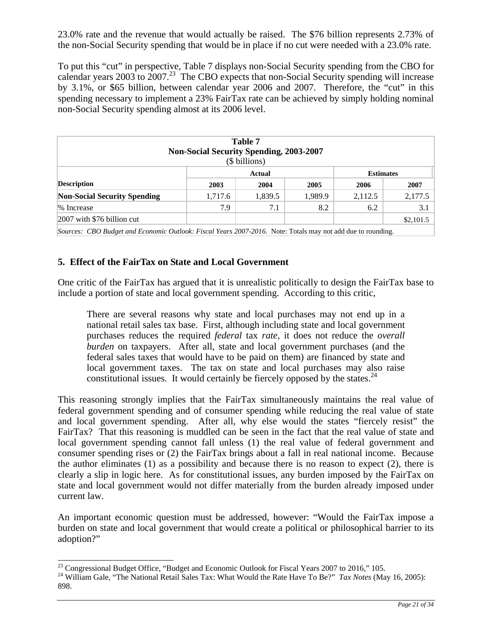23.0% rate and the revenue that would actually be raised. The \$76 billion represents 2.73% of the non-Social Security spending that would be in place if no cut were needed with a 23.0% rate.

To put this "cut" in perspective, Table 7 displays non-Social Security spending from the CBO for calendar years  $2003$  to  $2007<sup>23</sup>$ . The CBO expects that non-Social Security spending will increase by 3.1%, or \$65 billion, between calendar year 2006 and 2007. Therefore, the "cut" in this spending necessary to implement a 23% FairTax rate can be achieved by simply holding nominal non-Social Security spending almost at its 2006 level.

| Table 7<br><b>Non-Social Security Spending, 2003-2007</b><br>(\$ billions) |         |         |         |                  |           |
|----------------------------------------------------------------------------|---------|---------|---------|------------------|-----------|
| Actual                                                                     |         |         |         | <b>Estimates</b> |           |
| <b>Description</b>                                                         | 2003    | 2004    | 2005    | 2006             | 2007      |
| <b>Non-Social Security Spending</b>                                        | 1,717.6 | 1,839.5 | 1,989.9 | 2,112.5          | 2,177.5   |
| % Increase                                                                 | 7.9     | 7.1     | 8.2     | 6.2              | 3.1       |
| $\vert 2007 \vert$ with \$76 billion cut                                   |         |         |         |                  | \$2,101.5 |

*Sources: CBO Budget and Economic Outlook: Fiscal Years 2007-2016.* Note: Totals may not add due to rounding.

## **5. Effect of the FairTax on State and Local Government**

One critic of the FairTax has argued that it is unrealistic politically to design the FairTax base to include a portion of state and local government spending. According to this critic,

There are several reasons why state and local purchases may not end up in a national retail sales tax base. First, although including state and local government purchases reduces the required *federal* tax *rate*, it does not reduce the *overall burden* on taxpayers. After all, state and local government purchases (and the federal sales taxes that would have to be paid on them) are financed by state and local government taxes. The tax on state and local purchases may also raise constitutional issues. It would certainly be fiercely opposed by the states.  $24$ 

This reasoning strongly implies that the FairTax simultaneously maintains the real value of federal government spending and of consumer spending while reducing the real value of state and local government spending. After all, why else would the states "fiercely resist" the FairTax? That this reasoning is muddled can be seen in the fact that the real value of state and local government spending cannot fall unless (1) the real value of federal government and consumer spending rises or (2) the FairTax brings about a fall in real national income. Because the author eliminates (1) as a possibility and because there is no reason to expect (2), there is clearly a slip in logic here. As for constitutional issues, any burden imposed by the FairTax on state and local government would not differ materially from the burden already imposed under current law.

An important economic question must be addressed, however: "Would the FairTax impose a burden on state and local government that would create a political or philosophical barrier to its adoption?"

 $\overline{a}$ 

 $^{23}$  Congressional Budget Office, "Budget and Economic Outlook for Fiscal Years 2007 to 2016," 105.

<sup>&</sup>lt;sup>24</sup> William Gale, "The National Retail Sales Tax: What Would the Rate Have To Be?" *Tax Notes* (May 16, 2005): 898.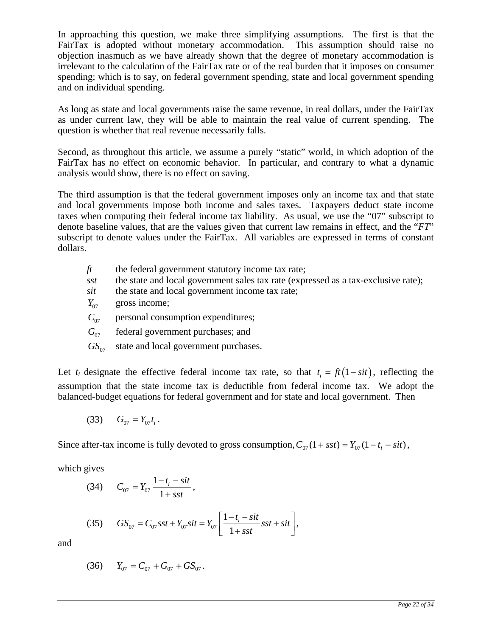In approaching this question, we make three simplifying assumptions. The first is that the FairTax is adopted without monetary accommodation. This assumption should raise no objection inasmuch as we have already shown that the degree of monetary accommodation is irrelevant to the calculation of the FairTax rate or of the real burden that it imposes on consumer spending; which is to say, on federal government spending, state and local government spending and on individual spending.

As long as state and local governments raise the same revenue, in real dollars, under the FairTax as under current law, they will be able to maintain the real value of current spending. The question is whether that real revenue necessarily falls.

Second, as throughout this article, we assume a purely "static" world, in which adoption of the FairTax has no effect on economic behavior. In particular, and contrary to what a dynamic analysis would show, there is no effect on saving.

The third assumption is that the federal government imposes only an income tax and that state and local governments impose both income and sales taxes. Taxpayers deduct state income taxes when computing their federal income tax liability. As usual, we use the "07" subscript to denote baseline values, that are the values given that current law remains in effect, and the "*FT*" subscript to denote values under the FairTax. All variables are expressed in terms of constant dollars.

- *ft* the federal government statutory income tax rate;
- *sst* the state and local government sales tax rate (expressed as a tax-exclusive rate);
- *sit* the state and local government income tax rate;
- $Y_{.07}$  gross income;
- $C_{07}$  personal consumption expenditures;
- $G_{07}$  federal government purchases; and
- $GS_{07}$  state and local government purchases.

Let  $t_i$  designate the effective federal income tax rate, so that  $t_i = ft(1-sit)$ , reflecting the assumption that the state income tax is deductible from federal income tax. We adopt the balanced-budget equations for federal government and for state and local government. Then

$$
(33) \tG_{07} = Y_{07}t_i.
$$

Since after-tax income is fully devoted to gross consumption,  $C_{07} (1 + sst) = Y_{07} (1 - t_i - sit)$ ,

which gives

(34) 
$$
C_{07} = Y_{07} \frac{1 - t_i - sit}{1 + sst},
$$

(35) 
$$
GS_{07} = C_{07} sst + Y_{07} sit = Y_{07} \left[ \frac{1 - t_i - sit}{1 + sst} sst + sit \right],
$$

and

$$
(36) \t Y_{07} = C_{07} + G_{07} + GS_{07}.
$$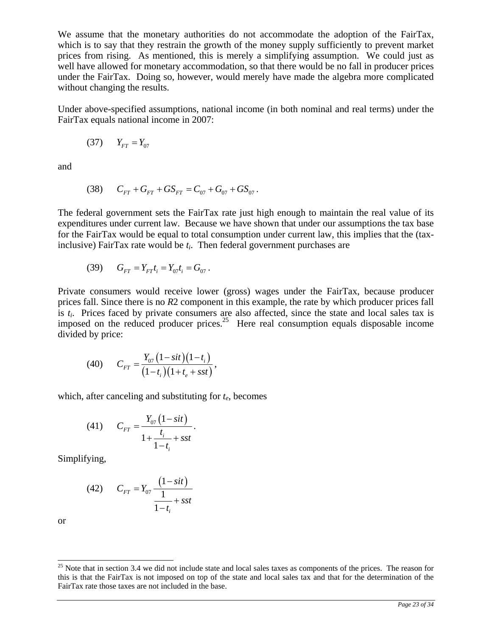We assume that the monetary authorities do not accommodate the adoption of the FairTax, which is to say that they restrain the growth of the money supply sufficiently to prevent market prices from rising. As mentioned, this is merely a simplifying assumption. We could just as well have allowed for monetary accommodation, so that there would be no fall in producer prices under the FairTax. Doing so, however, would merely have made the algebra more complicated without changing the results.

Under above-specified assumptions, national income (in both nominal and real terms) under the FairTax equals national income in 2007:

$$
(37) \qquad Y_{FT} = Y_{07}
$$

and

$$
(38) \tC_{FT} + G_{FT} + GS_{FT} = C_{07} + G_{07} + GS_{07}.
$$

The federal government sets the FairTax rate just high enough to maintain the real value of its expenditures under current law. Because we have shown that under our assumptions the tax base for the FairTax would be equal to total consumption under current law, this implies that the (taxinclusive) FairTax rate would be *ti*. Then federal government purchases are

(39) 
$$
G_{FT} = Y_{FT}t_i = Y_{07}t_i = G_{07}.
$$

Private consumers would receive lower (gross) wages under the FairTax, because producer prices fall. Since there is no *R*2 component in this example, the rate by which producer prices fall is *ti*. Prices faced by private consumers are also affected, since the state and local sales tax is imposed on the reduced producer prices.<sup>25</sup> Here real consumption equals disposable income divided by price:

(40) 
$$
C_{FT} = \frac{Y_{07} (1 - sit) (1 - t_i)}{(1 - t_i) (1 + t_e + sst)},
$$

which, after canceling and substituting for *te*, becomes

(41) 
$$
C_{FT} = \frac{Y_{07} (1 - sit)}{1 + \frac{t_i}{1 - t_i} + sst}.
$$

Simplifying,

(42) 
$$
C_{FT} = Y_{07} \frac{(1-sit)}{\frac{1}{1-t_i} + sst}
$$

or

 $\overline{a}$ 

 $25$  Note that in section 3.4 we did not include state and local sales taxes as components of the prices. The reason for this is that the FairTax is not imposed on top of the state and local sales tax and that for the determination of the FairTax rate those taxes are not included in the base.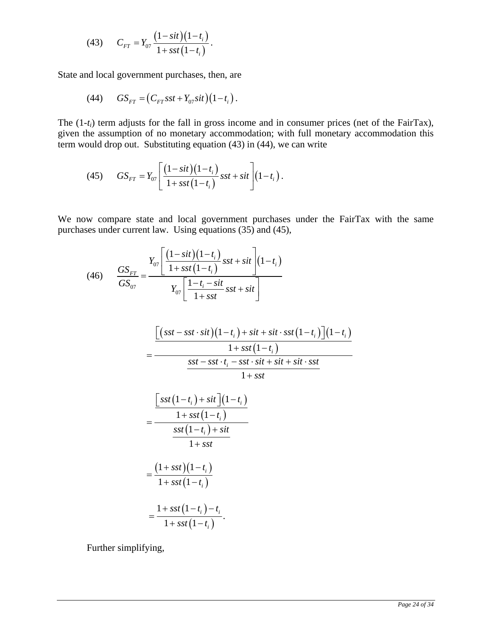(43) 
$$
C_{FT} = Y_{07} \frac{(1-sit)(1-t_i)}{1+sst(1-t_i)}.
$$

State and local government purchases, then, are

(44) 
$$
GS_{FT} = (C_{FT} sst + Y_{07} sit)(1-t_i).
$$

The (1-t<sub>i</sub>) term adjusts for the fall in gross income and in consumer prices (net of the FairTax), given the assumption of no monetary accommodation; with full monetary accommodation this term would drop out. Substituting equation  $(43)$  in  $(44)$ , we can write

(45) 
$$
GS_{FT} = Y_{07} \left[ \frac{(1-sit)(1-t_i)}{1+sst(1-t_i)} sst + sit \right] (1-t_i).
$$

We now compare state and local government purchases under the FairTax with the same purchases under current law. Using equations (35) and (45),

(46) 
$$
\frac{GS_{FT}}{GS_{07}} = \frac{Y_{07} \left[ \frac{(1-sit)(1-t_i)}{1+sst(1-t_i)} sst + sit \right] (1-t_i)}{Y_{07} \left[ \frac{1-t_i-sit}{1+sst} sst + sit \right]}
$$

$$
=\frac{\left[ (sst - sst \cdot sit) (1-t_i) + sit + sit \cdot sst (1-t_i) \right] (1-t_i)}{1 + sst (1-t_i)}
$$
\n
$$
=\frac{1 + sst (1-t_i)}{sst - sst \cdot t_i - sst \cdot sit + sit + sit \cdot sst}{1 + sst}
$$

$$
1+s
$$

$$
=\frac{\left[sst\left(1-t_{i}\right)+sit\right]\left(1-t_{i}\right)}{1+sst\left(1-t_{i}\right)}
$$
\n
$$
=\frac{sst\left(1-t_{i}\right)+sit}{1+sst}
$$
\n
$$
=\frac{\left(1+sst\right)\left(1-t_{i}\right)}{1+sst\left(1-t_{i}\right)}
$$
\n
$$
=\frac{1+sst\left(1-t_{i}\right)-t_{i}}{1+sst\left(1-t_{i}\right)}.
$$

Further simplifying,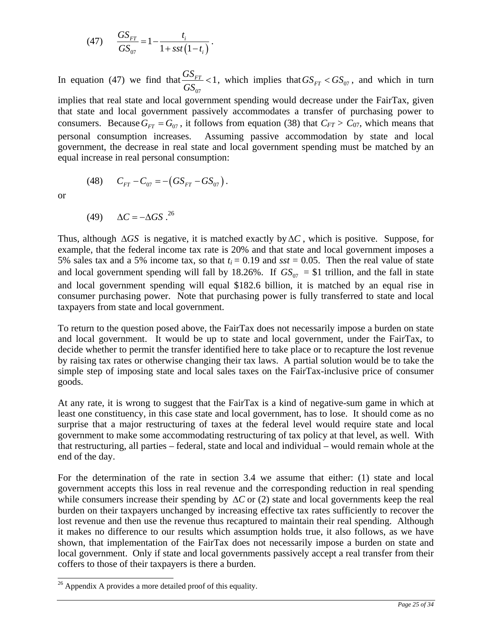(47) 
$$
\frac{GS_{FT}}{GS_{07}} = 1 - \frac{t_i}{1 + sst(1 - t_i)}.
$$

In equation (47) we find that 07  $\frac{GS_{FT}}{GG}$  < 1  $\frac{GST}{GS_{07}}$  < 1, which implies that  $GS_{FT}$  <  $GS_{07}$ , and which in turn implies that real state and local government spending would decrease under the FairTax, given that state and local government passively accommodates a transfer of purchasing power to consumers. Because  $G_{FT} = G_{07}$ , it follows from equation (38) that  $C_{FT} > C_{07}$ , which means that personal consumption increases. Assuming passive accommodation by state and local government, the decrease in real state and local government spending must be matched by an equal increase in real personal consumption:

(48) 
$$
C_{FT} - C_{07} = -(GS_{FT} - GS_{07}).
$$

or

$$
(49) \qquad \Delta C = -\Delta GS \, .^{26}
$$

Thus, although  $\Delta GS$  is negative, it is matched exactly by  $\Delta C$ , which is positive. Suppose, for example, that the federal income tax rate is 20% and that state and local government imposes a 5% sales tax and a 5% income tax, so that  $t_i = 0.19$  and  $sst = 0.05$ . Then the real value of state and local government spending will fall by 18.26%. If  $GS_{07} = $1$  trillion, and the fall in state and local government spending will equal \$182.6 billion, it is matched by an equal rise in consumer purchasing power. Note that purchasing power is fully transferred to state and local taxpayers from state and local government.

To return to the question posed above, the FairTax does not necessarily impose a burden on state and local government. It would be up to state and local government, under the FairTax, to decide whether to permit the transfer identified here to take place or to recapture the lost revenue by raising tax rates or otherwise changing their tax laws. A partial solution would be to take the simple step of imposing state and local sales taxes on the FairTax-inclusive price of consumer goods.

At any rate, it is wrong to suggest that the FairTax is a kind of negative-sum game in which at least one constituency, in this case state and local government, has to lose. It should come as no surprise that a major restructuring of taxes at the federal level would require state and local government to make some accommodating restructuring of tax policy at that level, as well. With that restructuring, all parties – federal, state and local and individual – would remain whole at the end of the day.

For the determination of the rate in section 3.4 we assume that either: (1) state and local government accepts this loss in real revenue and the corresponding reduction in real spending while consumers increase their spending by  $\Delta C$  or (2) state and local governments keep the real burden on their taxpayers unchanged by increasing effective tax rates sufficiently to recover the lost revenue and then use the revenue thus recaptured to maintain their real spending. Although it makes no difference to our results which assumption holds true, it also follows, as we have shown, that implementation of the FairTax does not necessarily impose a burden on state and local government. Only if state and local governments passively accept a real transfer from their coffers to those of their taxpayers is there a burden.

 $\overline{a}$  $26$  Appendix A provides a more detailed proof of this equality.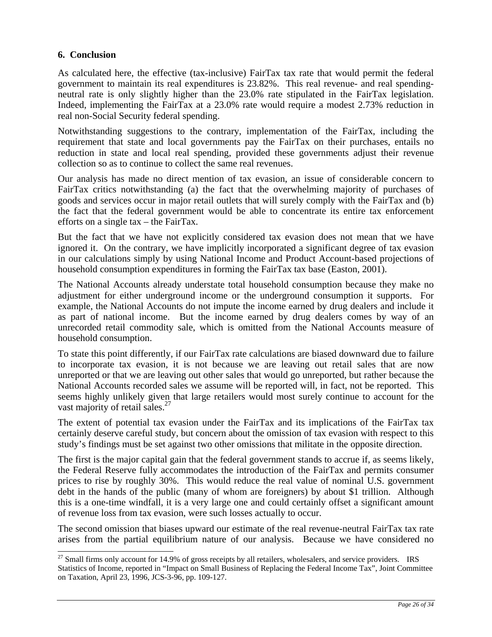# **6. Conclusion**

 $\overline{\phantom{a}}$ 

As calculated here, the effective (tax-inclusive) FairTax tax rate that would permit the federal government to maintain its real expenditures is 23.82%. This real revenue- and real spendingneutral rate is only slightly higher than the 23.0% rate stipulated in the FairTax legislation. Indeed, implementing the FairTax at a 23.0% rate would require a modest 2.73% reduction in real non-Social Security federal spending.

Notwithstanding suggestions to the contrary, implementation of the FairTax, including the requirement that state and local governments pay the FairTax on their purchases, entails no reduction in state and local real spending, provided these governments adjust their revenue collection so as to continue to collect the same real revenues.

Our analysis has made no direct mention of tax evasion, an issue of considerable concern to FairTax critics notwithstanding (a) the fact that the overwhelming majority of purchases of goods and services occur in major retail outlets that will surely comply with the FairTax and (b) the fact that the federal government would be able to concentrate its entire tax enforcement efforts on a single tax – the FairTax.

But the fact that we have not explicitly considered tax evasion does not mean that we have ignored it. On the contrary, we have implicitly incorporated a significant degree of tax evasion in our calculations simply by using National Income and Product Account-based projections of household consumption expenditures in forming the FairTax tax base (Easton, 2001).

The National Accounts already understate total household consumption because they make no adjustment for either underground income or the underground consumption it supports. For example, the National Accounts do not impute the income earned by drug dealers and include it as part of national income. But the income earned by drug dealers comes by way of an unrecorded retail commodity sale, which is omitted from the National Accounts measure of household consumption.

To state this point differently, if our FairTax rate calculations are biased downward due to failure to incorporate tax evasion, it is not because we are leaving out retail sales that are now unreported or that we are leaving out other sales that would go unreported, but rather because the National Accounts recorded sales we assume will be reported will, in fact, not be reported. This seems highly unlikely given that large retailers would most surely continue to account for the vast majority of retail sales.<sup>27</sup>

The extent of potential tax evasion under the FairTax and its implications of the FairTax tax certainly deserve careful study, but concern about the omission of tax evasion with respect to this study's findings must be set against two other omissions that militate in the opposite direction.

The first is the major capital gain that the federal government stands to accrue if, as seems likely, the Federal Reserve fully accommodates the introduction of the FairTax and permits consumer prices to rise by roughly 30%. This would reduce the real value of nominal U.S. government debt in the hands of the public (many of whom are foreigners) by about \$1 trillion. Although this is a one-time windfall, it is a very large one and could certainly offset a significant amount of revenue loss from tax evasion, were such losses actually to occur.

The second omission that biases upward our estimate of the real revenue-neutral FairTax tax rate arises from the partial equilibrium nature of our analysis. Because we have considered no

 $^{27}$  Small firms only account for 14.9% of gross receipts by all retailers, wholesalers, and service providers. IRS Statistics of Income, reported in "Impact on Small Business of Replacing the Federal Income Tax", Joint Committee on Taxation, April 23, 1996, JCS-3-96, pp. 109-127.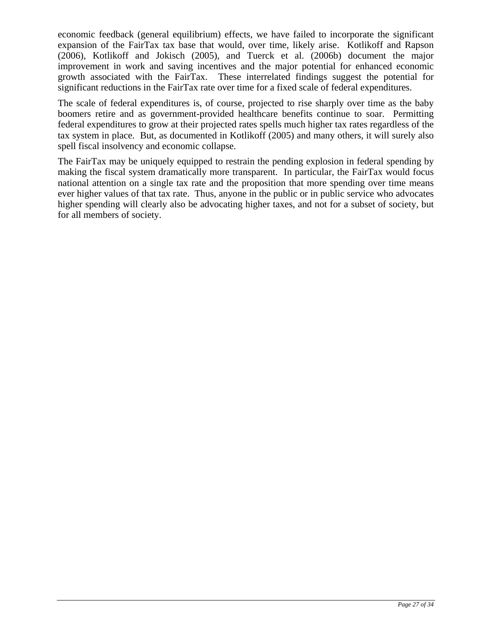economic feedback (general equilibrium) effects, we have failed to incorporate the significant expansion of the FairTax tax base that would, over time, likely arise. Kotlikoff and Rapson (2006), Kotlikoff and Jokisch (2005), and Tuerck et al. (2006b) document the major improvement in work and saving incentives and the major potential for enhanced economic growth associated with the FairTax. These interrelated findings suggest the potential for significant reductions in the FairTax rate over time for a fixed scale of federal expenditures.

The scale of federal expenditures is, of course, projected to rise sharply over time as the baby boomers retire and as government-provided healthcare benefits continue to soar. Permitting federal expenditures to grow at their projected rates spells much higher tax rates regardless of the tax system in place. But, as documented in Kotlikoff (2005) and many others, it will surely also spell fiscal insolvency and economic collapse.

The FairTax may be uniquely equipped to restrain the pending explosion in federal spending by making the fiscal system dramatically more transparent. In particular, the FairTax would focus national attention on a single tax rate and the proposition that more spending over time means ever higher values of that tax rate. Thus, anyone in the public or in public service who advocates higher spending will clearly also be advocating higher taxes, and not for a subset of society, but for all members of society.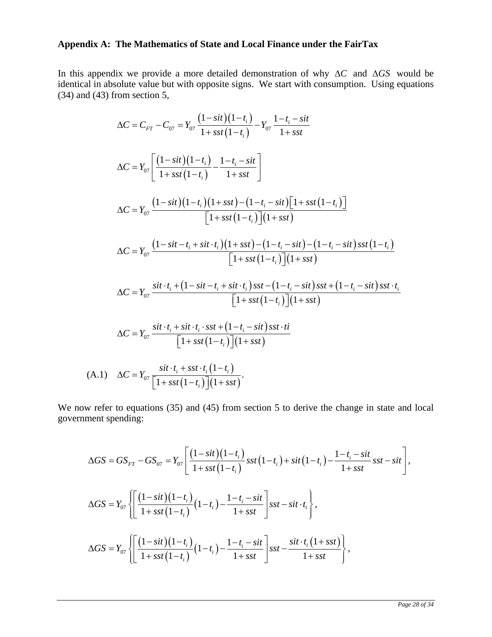# **Appendix A: The Mathematics of State and Local Finance under the FairTax**

In this appendix we provide a more detailed demonstration of why Δ*C* and Δ*GS* would be identical in absolute value but with opposite signs. We start with consumption. Using equations (34) and (43) from section 5,

$$
\Delta C = C_{FT} - C_{07} = Y_{07} \frac{(1-sit)(1-t_i)}{1+sst(1-t_i)} - Y_{07} \frac{1-t_i - sit}{1+sst}
$$
  
\n
$$
\Delta C = Y_{07} \left[ \frac{(1-sit)(1-t_i)}{1+sst(1-t_i)} - \frac{1-t_i - sit}{1+sst} \right]
$$
  
\n
$$
\Delta C = Y_{07} \frac{(1-sit)(1-t_i)(1+sst) - (1-t_i - sit)[1+sst(1-t_i)]}{[1+sst(1-t_i)][1+sst]}
$$
  
\n
$$
\Delta C = Y_{07} \frac{(1-sit - t_i + sit \cdot t_i)(1+sst) - (1-t_i - sit) - (1-t_i - sit)sst(1-t_i)}{[1+sst(1-t_i)][1+sst]}
$$
  
\n
$$
\Delta C = Y_{07} \frac{sit \cdot t_i + (1-sit - t_i + sit \cdot t_i)sst - (1-t_i - sit)sst + (1-t_i - sit)sst \cdot t_i}{[1+sst(1-t_i)][1+sst]}
$$
  
\n
$$
\Delta C = Y_{07} \frac{sit \cdot t_i + sit \cdot t_i \cdot sst + (1-t_i - sit)sst \cdot ti}{[1+sst(1-t_i)][1+sst]}
$$
  
\n(A.1) 
$$
\Delta C = Y_{07} \frac{sit \cdot t_i + sst \cdot t_i (1-t_i)}{[1+sst(1-t_i)][1+sst]}.
$$

We now refer to equations (35) and (45) from section 5 to derive the change in state and local government spending:

$$
\Delta GS = GS_{FT} - GS_{07} = Y_{07} \left[ \frac{(1-sit)(1-t_i)}{1+sst(1-t_i)} sst(1-t_i) + sit(1-t_i) - \frac{1-t_i-sit}{1+sst} sst - sit \right],
$$
  
\n
$$
\Delta GS = Y_{07} \left\{ \left[ \frac{(1-sit)(1-t_i)}{1+sst(1-t_i)}(1-t_i) - \frac{1-t_i-sit}{1+sst} \right] sst - sit \cdot t_i \right\},
$$
  
\n
$$
\Delta GS = Y_{07} \left\{ \left[ \frac{(1-sit)(1-t_i)}{1+sst(1-t_i)}(1-t_i) - \frac{1-t_i-sit}{1+sst} \right] sst - \frac{sit \cdot t_i(1+sst)}{1+sst} \right\},
$$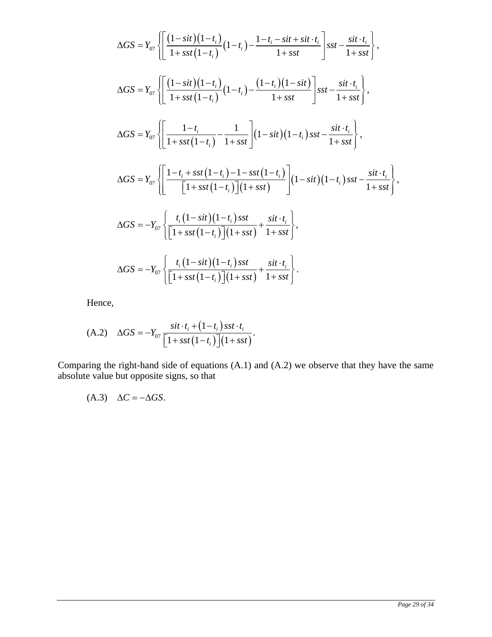$$
\Delta GS = Y_{07} \left\{ \left[ \frac{(1-sit)(1-t_i)}{1+sst(1-t_i)} (1-t_i) - \frac{1-t_i-sit + sit \cdot t_i}{1+sst} \right] \right\} \text{ sst} - \frac{sit \cdot t_i}{1+sst} \right\},
$$
\n
$$
\Delta GS = Y_{07} \left\{ \left[ \frac{(1-sit)(1-t_i)}{1+sst(1-t_i)} (1-t_i) - \frac{(1-t_i)(1-sit)}{1+sst} \right] \right\} \text{ sst} - \frac{sit \cdot t_i}{1+sst} \right\},
$$
\n
$$
\Delta GS = Y_{07} \left\{ \left[ \frac{1-t_i}{1+sst(1-t_i)} - \frac{1}{1+sst} \right] (1-sit)(1-t_i) \text{ sst} - \frac{sit \cdot t_i}{1+sst} \right\},
$$
\n
$$
\Delta GS = Y_{07} \left\{ \left[ \frac{1-t_i+sst(1-t_i)-1-sst(1-t_i)}{[1+sst(1-t_i)](1+sst)} \right] (1-sit)(1-t_i) \text{ sst} - \frac{sit \cdot t_i}{1+sst} \right\},
$$
\n
$$
\Delta GS = -Y_{07} \left\{ \frac{t_i(1-sit)(1-t_i) \text{ sst}}{[1+sst(1-t_i)](1+sst)} + \frac{sit \cdot t_i}{1+sst} \right\},
$$
\n
$$
\Delta GS = -Y_{07} \left\{ \frac{t_i(1-sit)(1-t_i) \text{ sst}}{[1+sst(1-t_i)](1+sst)} + \frac{sit \cdot t_i}{1+sst} \right\}.
$$

Hence,

$$
(A.2) \quad \Delta GS = -Y_{07} \frac{sit \cdot t_i + (1-t_i) sst \cdot t_i}{\left[1 + sst\left(1 - t_i\right)\right](1 + sst)}.
$$

Comparing the right-hand side of equations (A.1) and (A.2) we observe that they have the same absolute value but opposite signs, so that

$$
(A.3) \quad \Delta C = -\Delta GS.
$$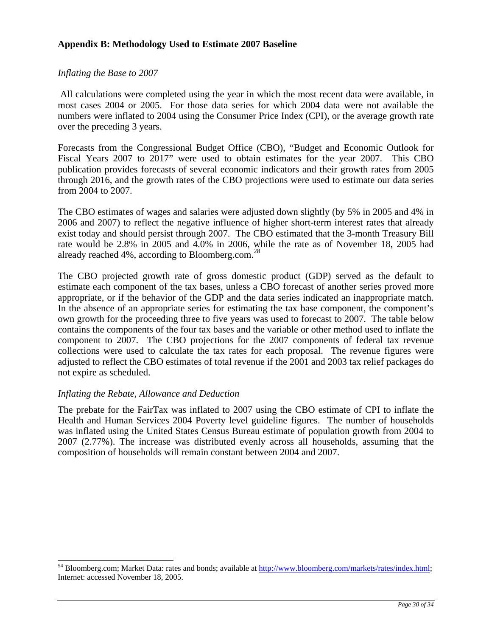## **Appendix B: Methodology Used to Estimate 2007 Baseline**

#### *Inflating the Base to 2007*

 All calculations were completed using the year in which the most recent data were available, in most cases 2004 or 2005. For those data series for which 2004 data were not available the numbers were inflated to 2004 using the Consumer Price Index (CPI), or the average growth rate over the preceding 3 years.

Forecasts from the Congressional Budget Office (CBO), "Budget and Economic Outlook for Fiscal Years 2007 to 2017" were used to obtain estimates for the year 2007. This CBO publication provides forecasts of several economic indicators and their growth rates from 2005 through 2016, and the growth rates of the CBO projections were used to estimate our data series from 2004 to 2007.

The CBO estimates of wages and salaries were adjusted down slightly (by 5% in 2005 and 4% in 2006 and 2007) to reflect the negative influence of higher short-term interest rates that already exist today and should persist through 2007. The CBO estimated that the 3-month Treasury Bill rate would be 2.8% in 2005 and 4.0% in 2006, while the rate as of November 18, 2005 had already reached 4%, according to Bloomberg.com.<sup>28</sup>

The CBO projected growth rate of gross domestic product (GDP) served as the default to estimate each component of the tax bases, unless a CBO forecast of another series proved more appropriate, or if the behavior of the GDP and the data series indicated an inappropriate match. In the absence of an appropriate series for estimating the tax base component, the component's own growth for the proceeding three to five years was used to forecast to 2007. The table below contains the components of the four tax bases and the variable or other method used to inflate the component to 2007. The CBO projections for the 2007 components of federal tax revenue collections were used to calculate the tax rates for each proposal. The revenue figures were adjusted to reflect the CBO estimates of total revenue if the 2001 and 2003 tax relief packages do not expire as scheduled.

#### *Inflating the Rebate, Allowance and Deduction*

 $\overline{a}$ 

The prebate for the FairTax was inflated to 2007 using the CBO estimate of CPI to inflate the Health and Human Services 2004 Poverty level guideline figures. The number of households was inflated using the United States Census Bureau estimate of population growth from 2004 to 2007 (2.77%). The increase was distributed evenly across all households, assuming that the composition of households will remain constant between 2004 and 2007.

<sup>&</sup>lt;sup>54</sup> Bloomberg.com; Market Data: rates and bonds; available at http://www.bloomberg.com/markets/rates/index.html; Internet: accessed November 18, 2005.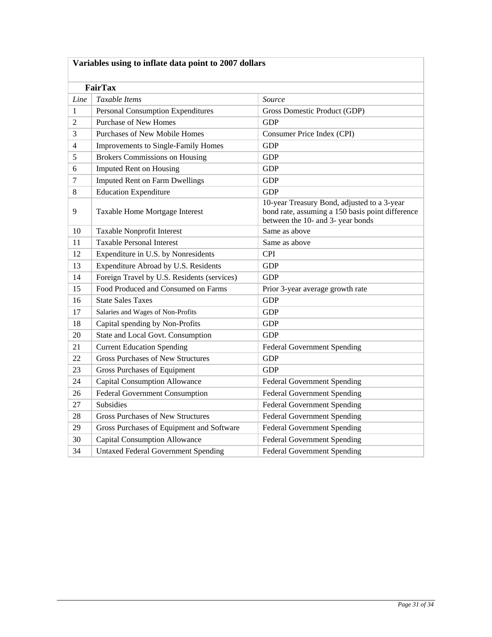| Variables using to inflate data point to 2007 dollars |                                             |                                                                                                                                      |  |  |
|-------------------------------------------------------|---------------------------------------------|--------------------------------------------------------------------------------------------------------------------------------------|--|--|
| <b>FairTax</b>                                        |                                             |                                                                                                                                      |  |  |
| Line                                                  | Taxable Items                               | Source                                                                                                                               |  |  |
| 1                                                     | <b>Personal Consumption Expenditures</b>    | Gross Domestic Product (GDP)                                                                                                         |  |  |
| $\overline{2}$                                        | <b>Purchase of New Homes</b>                | <b>GDP</b>                                                                                                                           |  |  |
| 3                                                     | <b>Purchases of New Mobile Homes</b>        | Consumer Price Index (CPI)                                                                                                           |  |  |
| $\overline{4}$                                        | Improvements to Single-Family Homes         | <b>GDP</b>                                                                                                                           |  |  |
| 5                                                     | <b>Brokers Commissions on Housing</b>       | <b>GDP</b>                                                                                                                           |  |  |
| 6                                                     | <b>Imputed Rent on Housing</b>              | <b>GDP</b>                                                                                                                           |  |  |
| $\overline{7}$                                        | <b>Imputed Rent on Farm Dwellings</b>       | <b>GDP</b>                                                                                                                           |  |  |
| 8                                                     | <b>Education Expenditure</b>                | <b>GDP</b>                                                                                                                           |  |  |
| 9                                                     | Taxable Home Mortgage Interest              | 10-year Treasury Bond, adjusted to a 3-year<br>bond rate, assuming a 150 basis point difference<br>between the 10- and 3- year bonds |  |  |
| 10                                                    | Taxable Nonprofit Interest                  | Same as above                                                                                                                        |  |  |
| 11                                                    | <b>Taxable Personal Interest</b>            | Same as above                                                                                                                        |  |  |
| 12                                                    | Expenditure in U.S. by Nonresidents         | <b>CPI</b>                                                                                                                           |  |  |
| 13                                                    | Expenditure Abroad by U.S. Residents        | <b>GDP</b>                                                                                                                           |  |  |
| 14                                                    | Foreign Travel by U.S. Residents (services) | <b>GDP</b>                                                                                                                           |  |  |
| 15                                                    | Food Produced and Consumed on Farms         | Prior 3-year average growth rate                                                                                                     |  |  |
| 16                                                    | <b>State Sales Taxes</b>                    | <b>GDP</b>                                                                                                                           |  |  |
| 17                                                    | Salaries and Wages of Non-Profits           | <b>GDP</b>                                                                                                                           |  |  |
| 18                                                    | Capital spending by Non-Profits             | <b>GDP</b>                                                                                                                           |  |  |
| 20                                                    | State and Local Govt. Consumption           | <b>GDP</b>                                                                                                                           |  |  |
| 21                                                    | <b>Current Education Spending</b>           | <b>Federal Government Spending</b>                                                                                                   |  |  |
| 22                                                    | <b>Gross Purchases of New Structures</b>    | <b>GDP</b>                                                                                                                           |  |  |
| 23                                                    | <b>Gross Purchases of Equipment</b>         | <b>GDP</b>                                                                                                                           |  |  |
| 24                                                    | <b>Capital Consumption Allowance</b>        | <b>Federal Government Spending</b>                                                                                                   |  |  |
| 26                                                    | Federal Government Consumption              | <b>Federal Government Spending</b>                                                                                                   |  |  |
| 27                                                    | <b>Subsidies</b>                            | <b>Federal Government Spending</b>                                                                                                   |  |  |
| 28                                                    | <b>Gross Purchases of New Structures</b>    | <b>Federal Government Spending</b>                                                                                                   |  |  |
| 29                                                    | Gross Purchases of Equipment and Software   | <b>Federal Government Spending</b>                                                                                                   |  |  |
| 30                                                    | <b>Capital Consumption Allowance</b>        | <b>Federal Government Spending</b>                                                                                                   |  |  |
| 34                                                    | <b>Untaxed Federal Government Spending</b>  | <b>Federal Government Spending</b>                                                                                                   |  |  |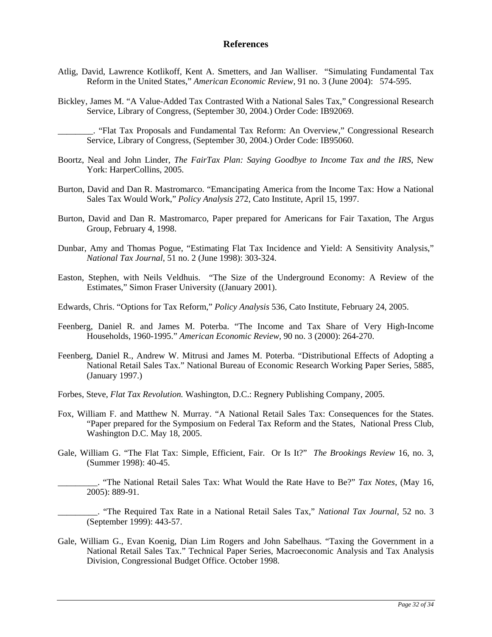#### **References**

- Atlig, David, Lawrence Kotlikoff, Kent A. Smetters, and Jan Walliser. "Simulating Fundamental Tax Reform in the United States," *American Economic Review,* 91 no. 3 (June 2004): 574-595.
- Bickley, James M. "A Value-Added Tax Contrasted With a National Sales Tax," Congressional Research Service, Library of Congress, (September 30, 2004.) Order Code: IB92069.

- Boortz, Neal and John Linder, *The FairTax Plan: Saying Goodbye to Income Tax and the IRS*, New York: HarperCollins, 2005.
- Burton, David and Dan R. Mastromarco. "Emancipating America from the Income Tax: How a National Sales Tax Would Work," *Policy Analysis* 272, Cato Institute, April 15, 1997.
- Burton, David and Dan R. Mastromarco, Paper prepared for Americans for Fair Taxation, The Argus Group, February 4, 1998.
- Dunbar, Amy and Thomas Pogue, "Estimating Flat Tax Incidence and Yield: A Sensitivity Analysis," *National Tax Journal*, 51 no. 2 (June 1998): 303-324.
- Easton, Stephen, with Neils Veldhuis. "The Size of the Underground Economy: A Review of the Estimates," Simon Fraser University ((January 2001).
- Edwards, Chris. "Options for Tax Reform," *Policy Analysis* 536, Cato Institute, February 24, 2005.
- Feenberg, Daniel R. and James M. Poterba. "The Income and Tax Share of Very High-Income Households, 1960-1995." *American Economic Review,* 90 no. 3 (2000): 264-270.
- Feenberg, Daniel R., Andrew W. Mitrusi and James M. Poterba. "Distributional Effects of Adopting a National Retail Sales Tax." National Bureau of Economic Research Working Paper Series, 5885, (January 1997.)
- Forbes, Steve, *Flat Tax Revolution.* Washington, D.C.: Regnery Publishing Company, 2005.
- Fox, William F. and Matthew N. Murray. "A National Retail Sales Tax: Consequences for the States. "Paper prepared for the Symposium on Federal Tax Reform and the States, National Press Club, Washington D.C. May 18, 2005.
- Gale, William G. "The Flat Tax: Simple, Efficient, Fair. Or Is It?" *The Brookings Review* 16, no. 3, (Summer 1998): 40-45.
	- \_\_\_\_\_\_\_\_\_. "The National Retail Sales Tax: What Would the Rate Have to Be?" *Tax Notes*, (May 16, 2005): 889-91.
	- \_\_\_\_\_\_\_\_\_. "The Required Tax Rate in a National Retail Sales Tax," *National Tax Journal*, 52 no. 3 (September 1999): 443-57.
- Gale, William G., Evan Koenig, Dian Lim Rogers and John Sabelhaus. "Taxing the Government in a National Retail Sales Tax." Technical Paper Series, Macroeconomic Analysis and Tax Analysis Division, Congressional Budget Office. October 1998.

\_\_\_\_\_\_\_\_. "Flat Tax Proposals and Fundamental Tax Reform: An Overview," Congressional Research Service, Library of Congress, (September 30, 2004.) Order Code: IB95060.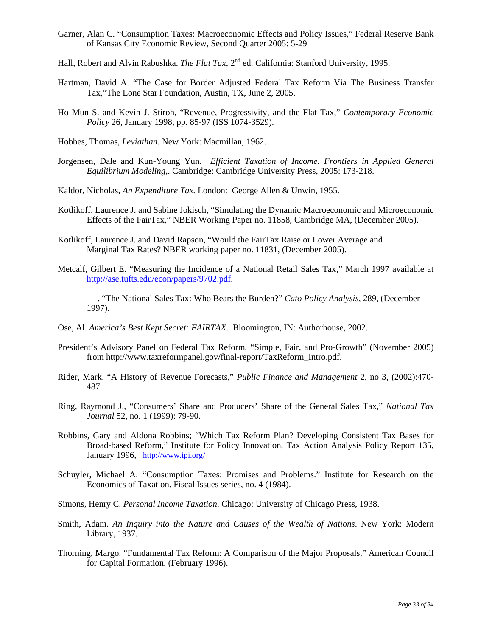- Garner, Alan C. "Consumption Taxes: Macroeconomic Effects and Policy Issues," Federal Reserve Bank of Kansas City Economic Review, Second Quarter 2005: 5-29
- Hall, Robert and Alvin Rabushka. *The Flat Tax*, 2<sup>nd</sup> ed. California: Stanford University, 1995.
- Hartman, David A. "The Case for Border Adjusted Federal Tax Reform Via The Business Transfer Tax,"The Lone Star Foundation, Austin, TX, June 2, 2005.
- Ho Mun S. and Kevin J. Stiroh, "Revenue, Progressivity, and the Flat Tax," *Contemporary Economic Policy* 26, January 1998, pp. 85-97 (ISS 1074-3529).

Hobbes, Thomas, *Leviathan*. New York: Macmillan, 1962.

- Jorgensen, Dale and Kun-Young Yun. *Efficient Taxation of Income. Frontiers in Applied General Equilibrium Modeling,*. Cambridge: Cambridge University Press, 2005: 173-218.
- Kaldor, Nicholas, *An Expenditure Tax.* London: George Allen & Unwin, 1955.
- Kotlikoff, Laurence J. and Sabine Jokisch, "Simulating the Dynamic Macroeconomic and Microeconomic Effects of the FairTax," NBER Working Paper no. 11858, Cambridge MA, (December 2005).
- Kotlikoff, Laurence J. and David Rapson, "Would the FairTax Raise or Lower Average and Marginal Tax Rates? NBER working paper no. 11831, (December 2005).
- Metcalf, Gilbert E. "Measuring the Incidence of a National Retail Sales Tax," March 1997 available at http://ase.tufts.edu/econ/papers/9702.pdf.
- \_\_\_\_\_\_\_\_\_. "The National Sales Tax: Who Bears the Burden?" *Cato Policy Analysis*, 289, (December 1997).
- Ose, Al. *America's Best Kept Secret: FAIRTAX*. Bloomington, IN: Authorhouse, 2002.
- President's Advisory Panel on Federal Tax Reform, "Simple, Fair, and Pro-Growth" (November 2005) from http://www.taxreformpanel.gov/final-report/TaxReform\_Intro.pdf.
- Rider, Mark. "A History of Revenue Forecasts," *Public Finance and Management* 2, no 3, (2002):470- 487.
- Ring, Raymond J., "Consumers' Share and Producers' Share of the General Sales Tax," *National Tax Journal* 52, no. 1 (1999): 79-90.
- Robbins, Gary and Aldona Robbins; "Which Tax Reform Plan? Developing Consistent Tax Bases for Broad-based Reform," Institute for Policy Innovation, Tax Action Analysis Policy Report 135, January 1996, http://www.ipi.org/
- Schuyler, Michael A. "Consumption Taxes: Promises and Problems." Institute for Research on the Economics of Taxation. Fiscal Issues series, no. 4 (1984).
- Simons, Henry C. *Personal Income Taxation*. Chicago: University of Chicago Press, 1938.
- Smith, Adam. *An Inquiry into the Nature and Causes of the Wealth of Nations*. New York: Modern Library, 1937.
- Thorning, Margo. "Fundamental Tax Reform: A Comparison of the Major Proposals," American Council for Capital Formation, (February 1996).